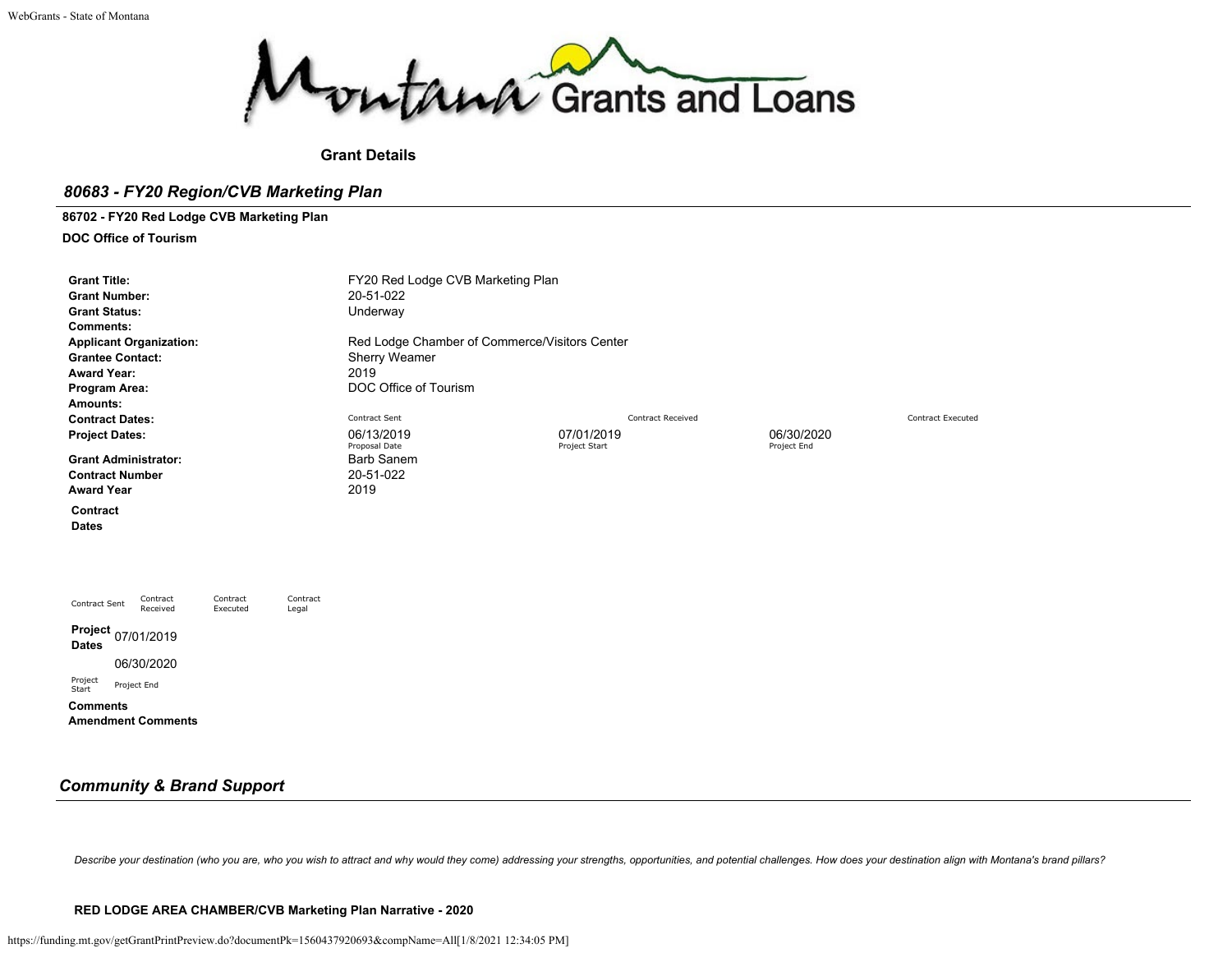

**Grant Details**

# *80683 - FY20 Region/CVB Marketing Plan*

**86702 - FY20 Red Lodge CVB Marketing Plan**

**DOC Office of Tourism**

| 20-51-022<br>Underway<br>Sherry Weamer<br>2019 |                          |                                                                                                     |
|------------------------------------------------|--------------------------|-----------------------------------------------------------------------------------------------------|
| DOC Office of Tourism                          |                          |                                                                                                     |
|                                                |                          |                                                                                                     |
| Contract Sent                                  | <b>Contract Received</b> | <b>Contract Executed</b>                                                                            |
| 06/13/2019                                     | 07/01/2019               | 06/30/2020                                                                                          |
| <b>Barb Sanem</b><br>20-51-022<br>2019         |                          | Project End                                                                                         |
|                                                |                          |                                                                                                     |
|                                                |                          |                                                                                                     |
|                                                |                          |                                                                                                     |
|                                                | Proposal Date            | FY20 Red Lodge CVB Marketing Plan<br>Red Lodge Chamber of Commerce/Visitors Center<br>Project Start |

# *Community & Brand Support*

Describe your destination (who you are, who you wish to attract and why would they come) addressing your strengths, opportunities, and potential challenges. How does your destination align with Montana's brand pillars?

#### **RED LODGE AREA CHAMBER/CVB Marketing Plan Narrative - 2020**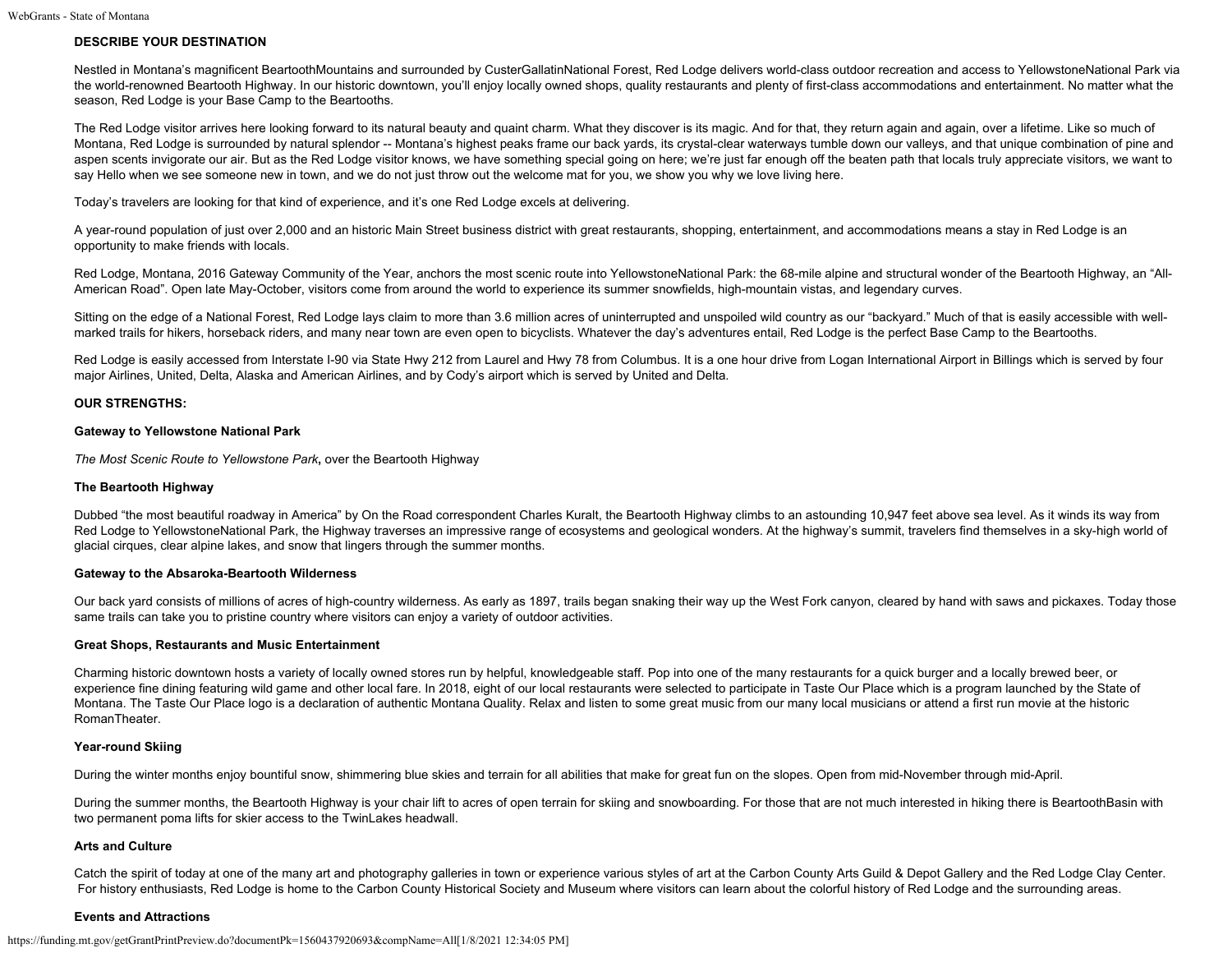## **DESCRIBE YOUR DESTINATION**

Nestled in Montana's magnificent BeartoothMountains and surrounded by CusterGallatinNational Forest, Red Lodge delivers world-class outdoor recreation and access to YellowstoneNational Park via the world-renowned Beartooth Highway. In our historic downtown, you'll enjoy locally owned shops, quality restaurants and plenty of first-class accommodations and entertainment. No matter what the season, Red Lodge is your Base Camp to the Beartooths.

The Red Lodge visitor arrives here looking forward to its natural beauty and quaint charm. What they discover is its magic. And for that, they return again and again, over a lifetime. Like so much of Montana, Red Lodge is surrounded by natural splendor -- Montana's highest peaks frame our back yards, its crystal-clear waterways tumble down our valleys, and that unique combination of pine and aspen scents invigorate our air. But as the Red Lodge visitor knows, we have something special going on here; we're just far enough off the beaten path that locals truly appreciate visitors, we want to say Hello when we see someone new in town, and we do not just throw out the welcome mat for you, we show you why we love living here.

Today's travelers are looking for that kind of experience, and it's one Red Lodge excels at delivering.

A year-round population of just over 2,000 and an historic Main Street business district with great restaurants, shopping, entertainment, and accommodations means a stay in Red Lodge is an opportunity to make friends with locals.

Red Lodge, Montana, 2016 Gateway Community of the Year, anchors the most scenic route into YellowstoneNational Park: the 68-mile alpine and structural wonder of the Beartooth Highway, an "All-American Road". Open late May-October, visitors come from around the world to experience its summer snowfields, high-mountain vistas, and legendary curves.

Sitting on the edge of a National Forest, Red Lodge lays claim to more than 3.6 million acres of uninterrupted and unspoiled wild country as our "backyard." Much of that is easily accessible with wellmarked trails for hikers, horseback riders, and many near town are even open to bicyclists. Whatever the day's adventures entail, Red Lodge is the perfect Base Camp to the Beartooths.

Red Lodge is easily accessed from Interstate I-90 via State Hwy 212 from Laurel and Hwy 78 from Columbus. It is a one hour drive from Logan International Airport in Billings which is served by four major Airlines, United, Delta, Alaska and American Airlines, and by Cody's airport which is served by United and Delta.

## **OUR STRENGTHS:**

#### **Gateway to Yellowstone National Park**

*The Most Scenic Route to Yellowstone Park*, over the Beartooth Highway

## **The Beartooth Highway**

Dubbed "the most beautiful roadway in America" by On the Road correspondent Charles Kuralt, the Beartooth Highway climbs to an astounding 10,947 feet above sea level. As it winds its way from Red Lodge to YellowstoneNational Park, the Highway traverses an impressive range of ecosystems and geological wonders. At the highway's summit, travelers find themselves in a sky-high world of glacial cirques, clear alpine lakes, and snow that lingers through the summer months.

#### **Gateway to the Absaroka-Beartooth Wilderness**

Our back yard consists of millions of acres of high-country wilderness. As early as 1897, trails began snaking their way up the West Fork canyon, cleared by hand with saws and pickaxes. Today those same trails can take you to pristine country where visitors can enjoy a variety of outdoor activities.

#### **Great Shops, Restaurants and Music Entertainment**

Charming historic downtown hosts a variety of locally owned stores run by helpful, knowledgeable staff. Pop into one of the many restaurants for a quick burger and a locally brewed beer, or experience fine dining featuring wild game and other local fare. In 2018, eight of our local restaurants were selected to participate in Taste Our Place which is a program launched by the State of Montana. The Taste Our Place logo is a declaration of authentic Montana Quality. Relax and listen to some great music from our many local musicians or attend a first run movie at the historic RomanTheater.

#### **Year-round Skiing**

During the winter months enjoy bountiful snow, shimmering blue skies and terrain for all abilities that make for great fun on the slopes. Open from mid-November through mid-April.

During the summer months, the Beartooth Highway is your chair lift to acres of open terrain for skiing and snowboarding. For those that are not much interested in hiking there is BeartoothBasin with two permanent poma lifts for skier access to the TwinLakes headwall.

#### **Arts and Culture**

Catch the spirit of today at one of the many art and photography galleries in town or experience various styles of art at the Carbon County Arts Guild & Depot Gallery and the Red Lodge Clay Center. For history enthusiasts, Red Lodge is home to the Carbon County Historical Society and Museum where visitors can learn about the colorful history of Red Lodge and the surrounding areas.

#### **Events and Attractions**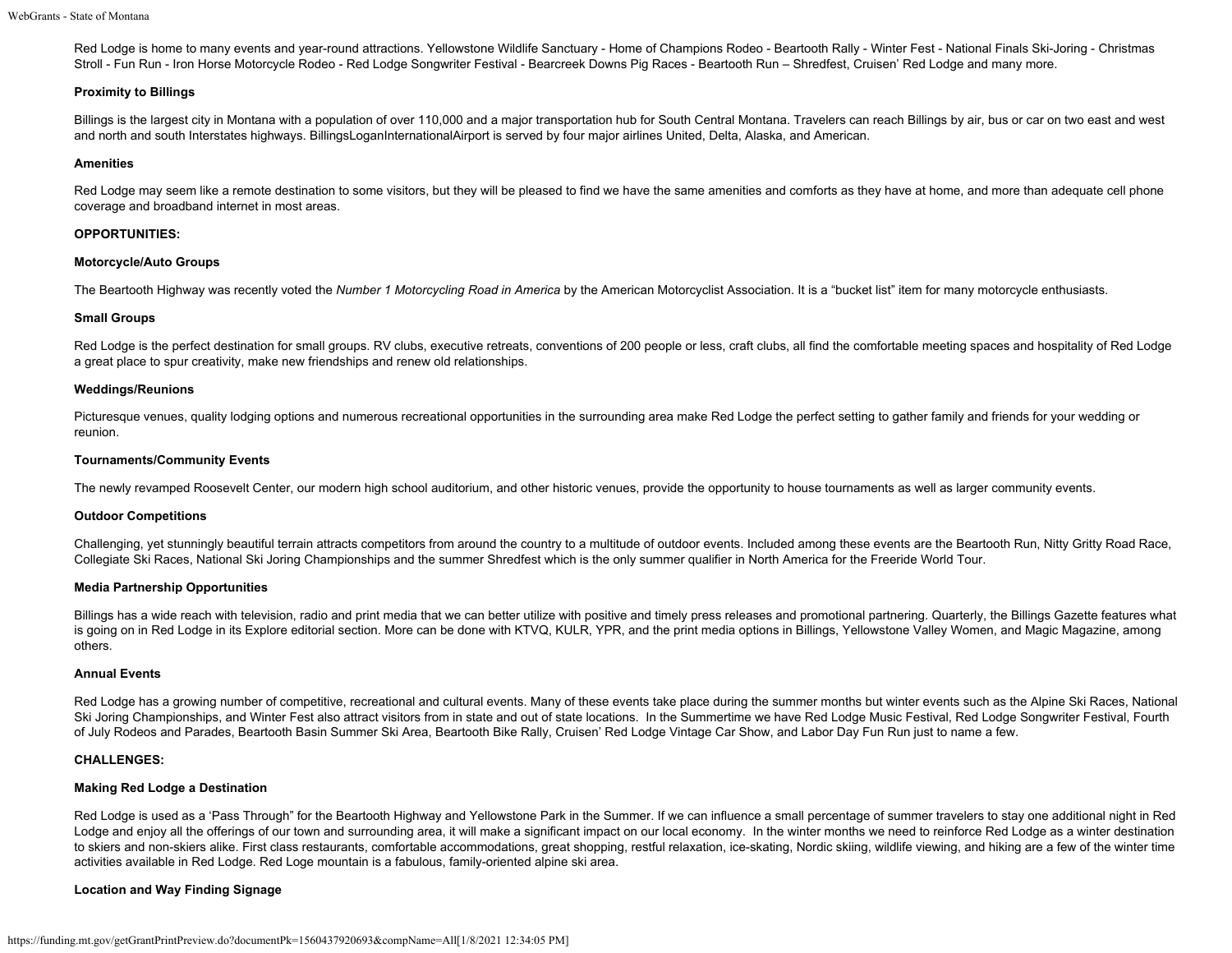Red Lodge is home to many events and year-round attractions. Yellowstone Wildlife Sanctuary - Home of Champions Rodeo - Beartooth Rally - Winter Fest - National Finals Ski-Joring - Christmas Stroll - Fun Run - Iron Horse Motorcycle Rodeo - Red Lodge Songwriter Festival - Bearcreek Downs Pig Races - Beartooth Run – Shredfest, Cruisen' Red Lodge and many more.

## **Proximity to Billings**

Billings is the largest city in Montana with a population of over 110,000 and a major transportation hub for South Central Montana. Travelers can reach Billings by air, bus or car on two east and west and north and south Interstates highways. BillingsLoganInternationalAirport is served by four major airlines United, Delta, Alaska, and American.

#### **Amenities**

Red Lodge may seem like a remote destination to some visitors, but they will be pleased to find we have the same amenities and comforts as they have at home, and more than adequate cell phone coverage and broadband internet in most areas.

#### **OPPORTUNITIES:**

#### **Motorcycle/Auto Groups**

The Beartooth Highway was recently voted the *Number 1 Motorcycling Road in America* by the American Motorcyclist Association. It is a "bucket list" item for many motorcycle enthusiasts.

#### **Small Groups**

Red Lodge is the perfect destination for small groups. RV clubs, executive retreats, conventions of 200 people or less, craft clubs, all find the comfortable meeting spaces and hospitality of Red Lodge a great place to spur creativity, make new friendships and renew old relationships.

#### **Weddings/Reunions**

Picturesque venues, quality lodging options and numerous recreational opportunities in the surrounding area make Red Lodge the perfect setting to gather family and friends for your wedding or reunion.

#### **Tournaments/Community Events**

The newly revamped Roosevelt Center, our modern high school auditorium, and other historic venues, provide the opportunity to house tournaments as well as larger community events.

## **Outdoor Competitions**

Challenging, yet stunningly beautiful terrain attracts competitors from around the country to a multitude of outdoor events. Included among these events are the Beartooth Run, Nitty Gritty Road Race, Collegiate Ski Races, National Ski Joring Championships and the summer Shredfest which is the only summer qualifier in North America for the Freeride World Tour.

## **Media Partnership Opportunities**

Billings has a wide reach with television, radio and print media that we can better utilize with positive and timely press releases and promotional partnering. Quarterly, the Billings Gazette features what is going on in Red Lodge in its Explore editorial section. More can be done with KTVQ, KULR, YPR, and the print media options in Billings, Yellowstone Valley Women, and Magic Magazine, among others.

#### **Annual Events**

Red Lodge has a growing number of competitive, recreational and cultural events. Many of these events take place during the summer months but winter events such as the Alpine Ski Races, National Ski Joring Championships, and Winter Fest also attract visitors from in state and out of state locations. In the Summertime we have Red Lodge Music Festival, Red Lodge Songwriter Festival, Fourth of July Rodeos and Parades, Beartooth Basin Summer Ski Area, Beartooth Bike Rally, Cruisen' Red Lodge Vintage Car Show, and Labor Day Fun Run just to name a few.

## **CHALLENGES:**

## **Making Red Lodge a Destination**

Red Lodge is used as a 'Pass Through" for the Beartooth Highway and Yellowstone Park in the Summer. If we can influence a small percentage of summer travelers to stay one additional night in Red Lodge and enjoy all the offerings of our town and surrounding area, it will make a significant impact on our local economy. In the winter months we need to reinforce Red Lodge as a winter destination to skiers and non-skiers alike. First class restaurants, comfortable accommodations, great shopping, restful relaxation, ice-skating, Nordic skiing, wildlife viewing, and hiking are a few of the winter time activities available in Red Lodge. Red Loge mountain is a fabulous, family-oriented alpine ski area.

## **Location and Way Finding Signage**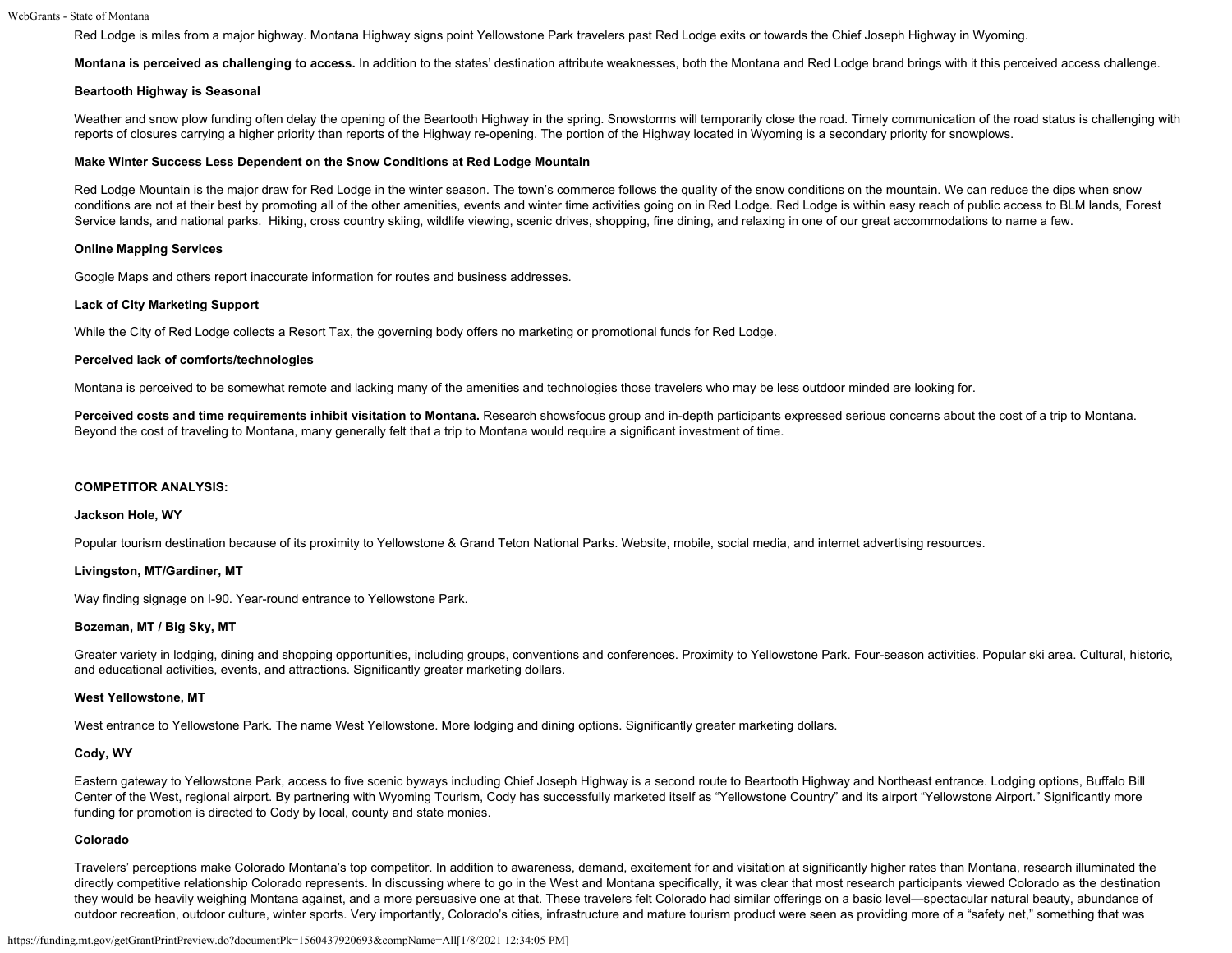#### WebGrants - State of Montana

Red Lodge is miles from a major highway. Montana Highway signs point Yellowstone Park travelers past Red Lodge exits or towards the Chief Joseph Highway in Wyoming.

Montana is perceived as challenging to access. In addition to the states' destination attribute weaknesses, both the Montana and Red Lodge brand brings with it this perceived access challenge.

#### **Beartooth Highway is Seasonal**

Weather and snow plow funding often delay the opening of the Beartooth Highway in the spring. Snowstorms will temporarily close the road. Timely communication of the road status is challenging with reports of closures carrying a higher priority than reports of the Highway re-opening. The portion of the Highway located in Wyoming is a secondary priority for snowplows.

#### **Make Winter Success Less Dependent on the Snow Conditions at Red Lodge Mountain**

Red Lodge Mountain is the major draw for Red Lodge in the winter season. The town's commerce follows the quality of the snow conditions on the mountain. We can reduce the dips when snow conditions are not at their best by promoting all of the other amenities, events and winter time activities going on in Red Lodge. Red Lodge is within easy reach of public access to BLM lands, Forest Service lands, and national parks. Hiking, cross country skiing, wildlife viewing, scenic drives, shopping, fine dining, and relaxing in one of our great accommodations to name a few.

#### **Online Mapping Services**

Google Maps and others report inaccurate information for routes and business addresses.

#### **Lack of City Marketing Support**

While the City of Red Lodge collects a Resort Tax, the governing body offers no marketing or promotional funds for Red Lodge.

#### **Perceived lack of comforts/technologies**

Montana is perceived to be somewhat remote and lacking many of the amenities and technologies those travelers who may be less outdoor minded are looking for.

Perceived costs and time requirements inhibit visitation to Montana. Research showsfocus group and in-depth participants expressed serious concerns about the cost of a trip to Montana. Beyond the cost of traveling to Montana, many generally felt that a trip to Montana would require a significant investment of time.

## **COMPETITOR ANALYSIS:**

#### **Jackson Hole, WY**

Popular tourism destination because of its proximity to Yellowstone & Grand Teton National Parks. Website, mobile, social media, and internet advertising resources.

## **Livingston, MT/Gardiner, MT**

Way finding signage on I-90. Year-round entrance to Yellowstone Park.

## **Bozeman, MT / Big Sky, MT**

Greater variety in lodging, dining and shopping opportunities, including groups, conventions and conferences. Proximity to Yellowstone Park. Four-season activities. Popular ski area. Cultural, historic, and educational activities, events, and attractions. Significantly greater marketing dollars.

#### **West Yellowstone, MT**

West entrance to Yellowstone Park. The name West Yellowstone. More lodging and dining options. Significantly greater marketing dollars.

## **Cody, WY**

Eastern gateway to Yellowstone Park, access to five scenic byways including Chief Joseph Highway is a second route to Beartooth Highway and Northeast entrance. Lodging options, Buffalo Bill Center of the West, regional airport. By partnering with Wyoming Tourism, Cody has successfully marketed itself as "Yellowstone Country" and its airport "Yellowstone Airport." Significantly more funding for promotion is directed to Cody by local, county and state monies.

#### **Colorado**

Travelers' perceptions make Colorado Montana's top competitor. In addition to awareness, demand, excitement for and visitation at significantly higher rates than Montana, research illuminated the directly competitive relationship Colorado represents. In discussing where to go in the West and Montana specifically, it was clear that most research participants viewed Colorado as the destination they would be heavily weighing Montana against, and a more persuasive one at that. These travelers felt Colorado had similar offerings on a basic level—spectacular natural beauty, abundance of outdoor recreation, outdoor culture, winter sports. Very importantly, Colorado's cities, infrastructure and mature tourism product were seen as providing more of a "safety net," something that was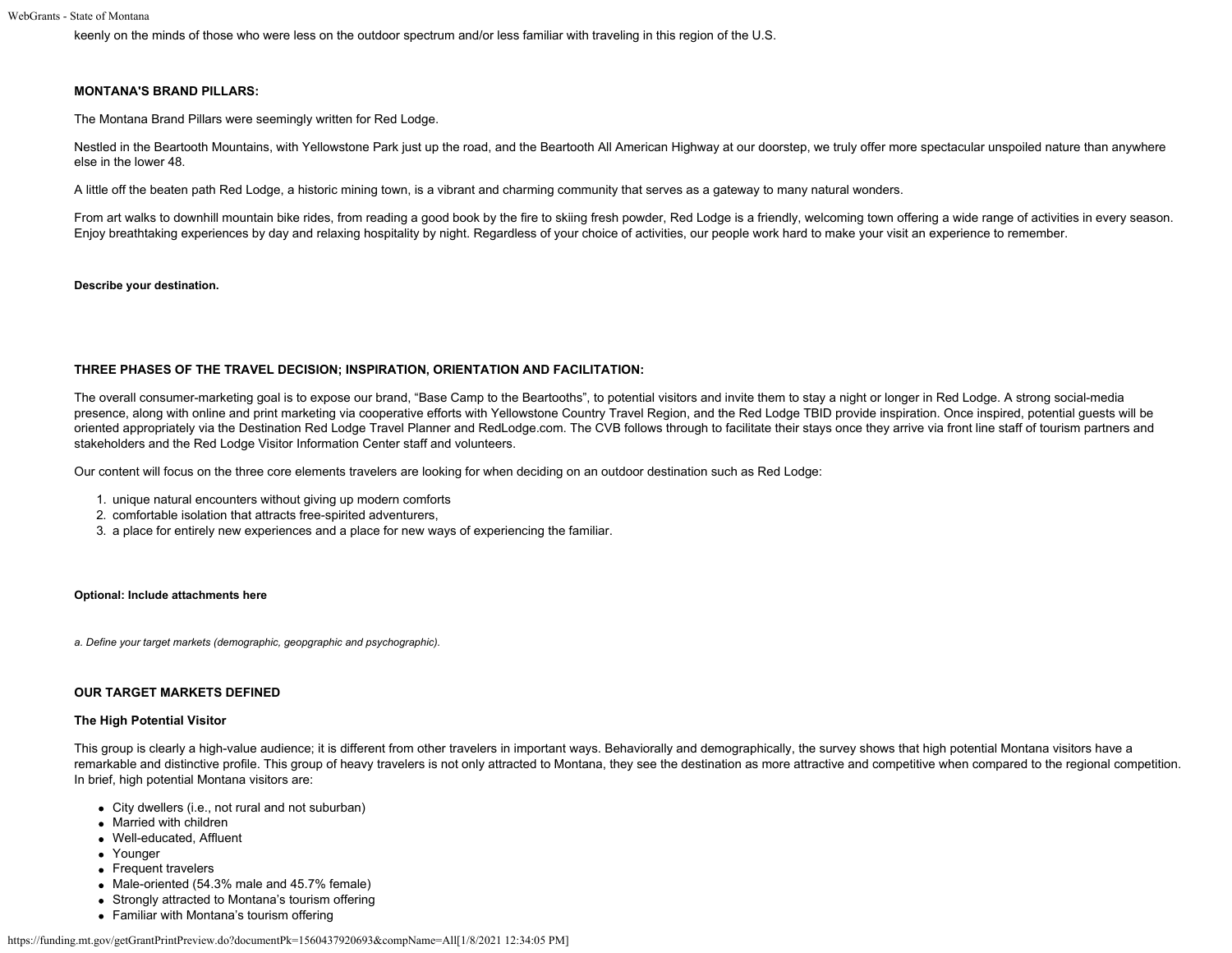keenly on the minds of those who were less on the outdoor spectrum and/or less familiar with traveling in this region of the U.S.

#### **MONTANA'S BRAND PILLARS:**

The Montana Brand Pillars were seemingly written for Red Lodge.

Nestled in the Beartooth Mountains, with Yellowstone Park just up the road, and the Beartooth All American Highway at our doorstep, we truly offer more spectacular unspoiled nature than anywhere else in the lower 48.

A little off the beaten path Red Lodge, a historic mining town, is a vibrant and charming community that serves as a gateway to many natural wonders.

From art walks to downhill mountain bike rides, from reading a good book by the fire to skiing fresh powder, Red Lodge is a friendly, welcoming town offering a wide range of activities in every season. Enjoy breathtaking experiences by day and relaxing hospitality by night. Regardless of your choice of activities, our people work hard to make your visit an experience to remember.

#### **Describe your destination.**

#### **THREE PHASES OF THE TRAVEL DECISION; INSPIRATION, ORIENTATION AND FACILITATION:**

The overall consumer-marketing goal is to expose our brand, "Base Camp to the Beartooths", to potential visitors and invite them to stay a night or longer in Red Lodge. A strong social-media presence, along with online and print marketing via cooperative efforts with Yellowstone Country Travel Region, and the Red Lodge TBID provide inspiration. Once inspired, potential guests will be oriented appropriately via the Destination Red Lodge Travel Planner and RedLodge.com. The CVB follows through to facilitate their stays once they arrive via front line staff of tourism partners and stakeholders and the Red Lodge Visitor Information Center staff and volunteers.

Our content will focus on the three core elements travelers are looking for when deciding on an outdoor destination such as Red Lodge:

- 1. unique natural encounters without giving up modern comforts
- 2. comfortable isolation that attracts free-spirited adventurers,
- 3. a place for entirely new experiences and a place for new ways of experiencing the familiar.

#### **Optional: Include attachments here**

*a. Define your target markets (demographic, geopgraphic and psychographic).*

#### **OUR TARGET MARKETS DEFINED**

#### **The High Potential Visitor**

This group is clearly a high-value audience; it is different from other travelers in important ways. Behaviorally and demographically, the survey shows that high potential Montana visitors have a remarkable and distinctive profile. This group of heavy travelers is not only attracted to Montana, they see the destination as more attractive and competitive when compared to the regional competition. In brief, high potential Montana visitors are:

- City dwellers (i.e., not rural and not suburban)
- Married with children
- Well-educated, Affluent
- Younger
- Frequent travelers
- Male-oriented (54.3% male and 45.7% female)
- Strongly attracted to Montana's tourism offering
- Familiar with Montana's tourism offering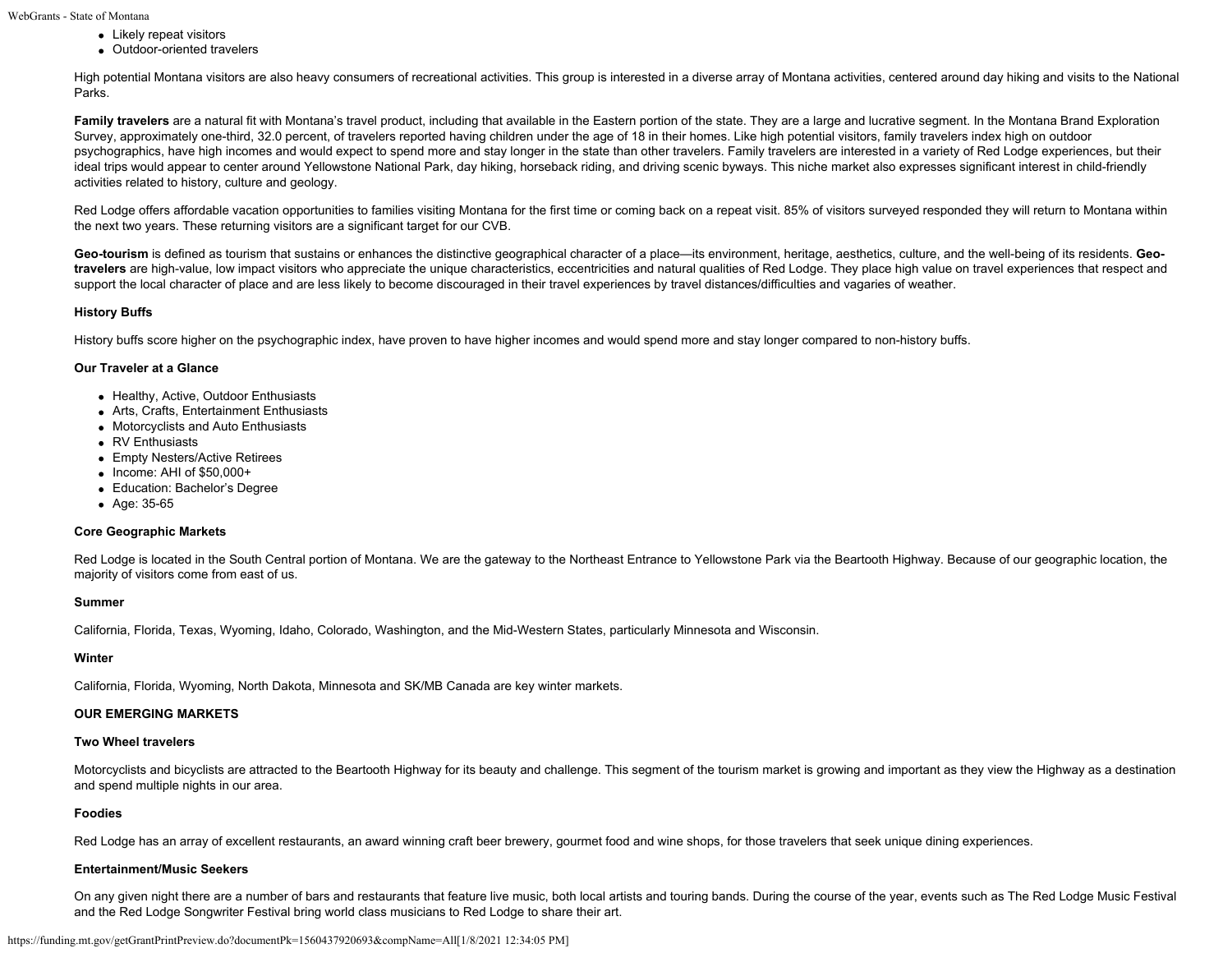- Likely repeat visitors
	- Outdoor-oriented travelers

High potential Montana visitors are also heavy consumers of recreational activities. This group is interested in a diverse array of Montana activities, centered around day hiking and visits to the National Parks.

Family travelers are a natural fit with Montana's travel product, including that available in the Eastern portion of the state. They are a large and lucrative segment. In the Montana Brand Exploration Survey, approximately one-third, 32.0 percent, of travelers reported having children under the age of 18 in their homes. Like high potential visitors, family travelers index high on outdoor psychographics, have high incomes and would expect to spend more and stay longer in the state than other travelers. Family travelers are interested in a variety of Red Lodge experiences, but their ideal trips would appear to center around Yellowstone National Park, day hiking, horseback riding, and driving scenic byways. This niche market also expresses significant interest in child-friendly activities related to history, culture and geology.

Red Lodge offers affordable vacation opportunities to families visiting Montana for the first time or coming back on a repeat visit. 85% of visitors surveyed responded they will return to Montana within the next two years. These returning visitors are a significant target for our CVB.

Geo-tourism is defined as tourism that sustains or enhances the distinctive geographical character of a place—its environment, heritage, aesthetics, culture, and the well-being of its residents. Geo**travelers** are high-value, low impact visitors who appreciate the unique characteristics, eccentricities and natural qualities of Red Lodge. They place high value on travel experiences that respect and support the local character of place and are less likely to become discouraged in their travel experiences by travel distances/difficulties and vagaries of weather.

## **History Buffs**

History buffs score higher on the psychographic index, have proven to have higher incomes and would spend more and stay longer compared to non-history buffs.

## **Our Traveler at a Glance**

- Healthy, Active, Outdoor Enthusiasts
- Arts, Crafts, Entertainment Enthusiasts
- Motorcyclists and Auto Enthusiasts
- RV Enthusiasts
- Empty Nesters/Active Retirees
- $\bullet$  Income: AHI of \$50,000+
- Education: Bachelor's Degree
- Age: 35-65

## **Core Geographic Markets**

Red Lodge is located in the South Central portion of Montana. We are the gateway to the Northeast Entrance to Yellowstone Park via the Beartooth Highway. Because of our geographic location, the majority of visitors come from east of us.

#### **Summer**

California, Florida, Texas, Wyoming, Idaho, Colorado, Washington, and the Mid-Western States, particularly Minnesota and Wisconsin.

#### **Winter**

California, Florida, Wyoming, North Dakota, Minnesota and SK/MB Canada are key winter markets.

# **OUR EMERGING MARKETS**

# **Two Wheel travelers**

Motorcyclists and bicyclists are attracted to the Beartooth Highway for its beauty and challenge. This segment of the tourism market is growing and important as they view the Highway as a destination and spend multiple nights in our area.

## **Foodies**

Red Lodge has an array of excellent restaurants, an award winning craft beer brewery, gourmet food and wine shops, for those travelers that seek unique dining experiences.

## **Entertainment/Music Seekers**

On any given night there are a number of bars and restaurants that feature live music, both local artists and touring bands. During the course of the year, events such as The Red Lodge Music Festival and the Red Lodge Songwriter Festival bring world class musicians to Red Lodge to share their art.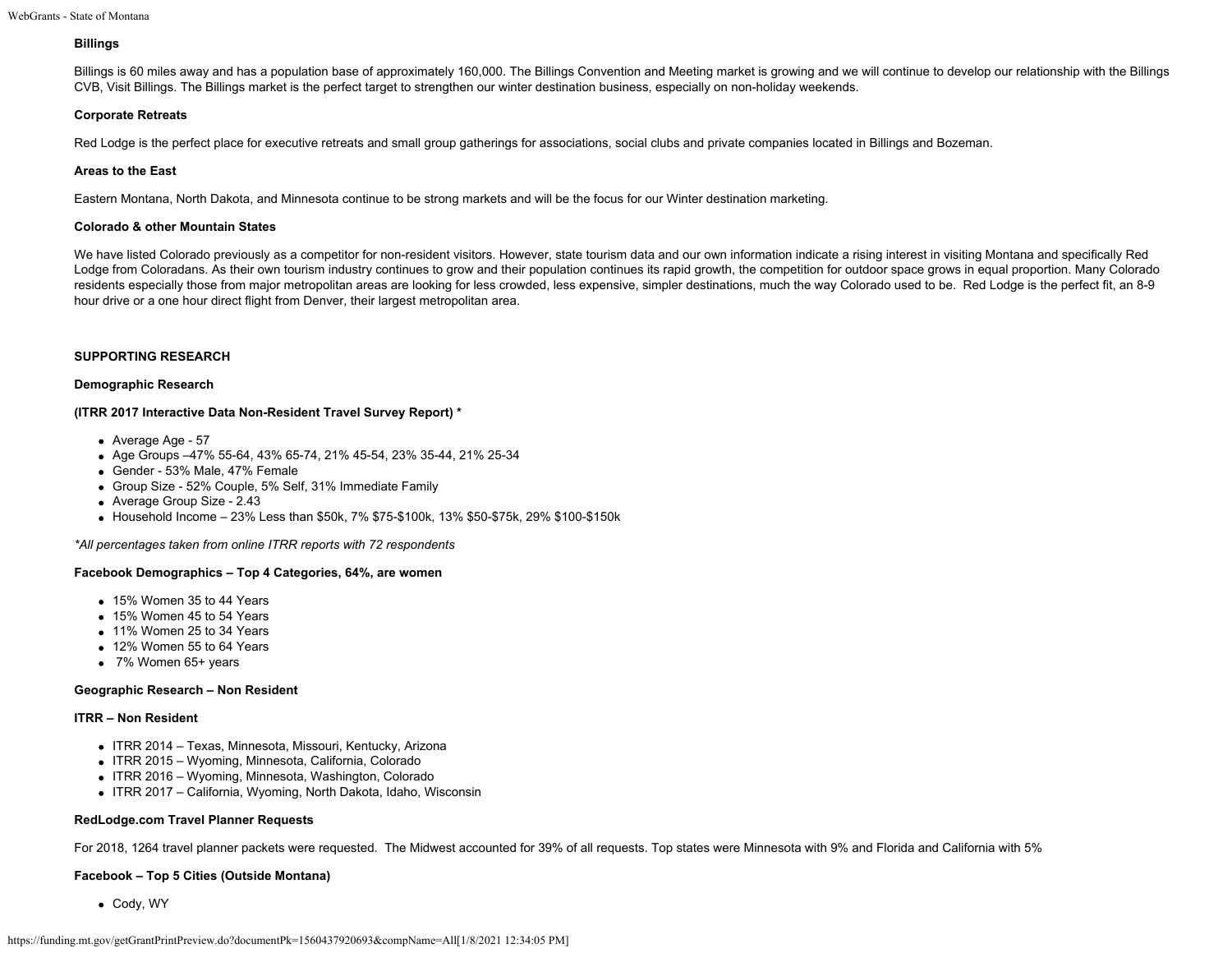## **Billings**

Billings is 60 miles away and has a population base of approximately 160,000. The Billings Convention and Meeting market is growing and we will continue to develop our relationship with the Billings CVB, Visit Billings. The Billings market is the perfect target to strengthen our winter destination business, especially on non-holiday weekends.

## **Corporate Retreats**

Red Lodge is the perfect place for executive retreats and small group gatherings for associations, social clubs and private companies located in Billings and Bozeman.

## **Areas to the East**

Eastern Montana, North Dakota, and Minnesota continue to be strong markets and will be the focus for our Winter destination marketing.

## **Colorado & other Mountain States**

We have listed Colorado previously as a competitor for non-resident visitors. However, state tourism data and our own information indicate a rising interest in visiting Montana and specifically Red Lodge from Coloradans. As their own tourism industry continues to grow and their population continues its rapid growth, the competition for outdoor space grows in equal proportion. Many Colorado residents especially those from major metropolitan areas are looking for less crowded, less expensive, simpler destinations, much the way Colorado used to be. Red Lodge is the perfect fit, an 8-9 hour drive or a one hour direct flight from Denver, their largest metropolitan area.

## **SUPPORTING RESEARCH**

#### **Demographic Research**

## **(ITRR 2017 Interactive Data Non-Resident Travel Survey Report) \***

- Average Age 57
- Age Groups –47% 55-64, 43% 65-74, 21% 45-54, 23% 35-44, 21% 25-34
- Gender 53% Male, 47% Female
- Group Size 52% Couple, 5% Self, 31% Immediate Family
- Average Group Size 2.43
- $\bullet$  Household Income 23% Less than \$50k, 7% \$75-\$100k, 13% \$50-\$75k, 29% \$100-\$150k

*\*All percentages taken from online ITRR reports with 72 respondents*

## **Facebook Demographics – Top 4 Categories, 64%, are women**

- 15% Women 35 to 44 Years
- 15% Women 45 to 54 Years
- 11% Women 25 to 34 Years
- 12% Women 55 to 64 Years
- 7% Women 65+ years

## **Geographic Research – Non Resident**

## **ITRR – Non Resident**

- ITRR 2014 Texas, Minnesota, Missouri, Kentucky, Arizona
- ITRR 2015 Wyoming, Minnesota, California, Colorado
- ITRR 2016 Wyoming, Minnesota, Washington, Colorado
- ITRR 2017 California, Wyoming, North Dakota, Idaho, Wisconsin

## **RedLodge.com Travel Planner Requests**

For 2018, 1264 travel planner packets were requested. The Midwest accounted for 39% of all requests. Top states were Minnesota with 9% and Florida and California with 5%

## **Facebook – Top 5 Cities (Outside Montana)**

Cody, WY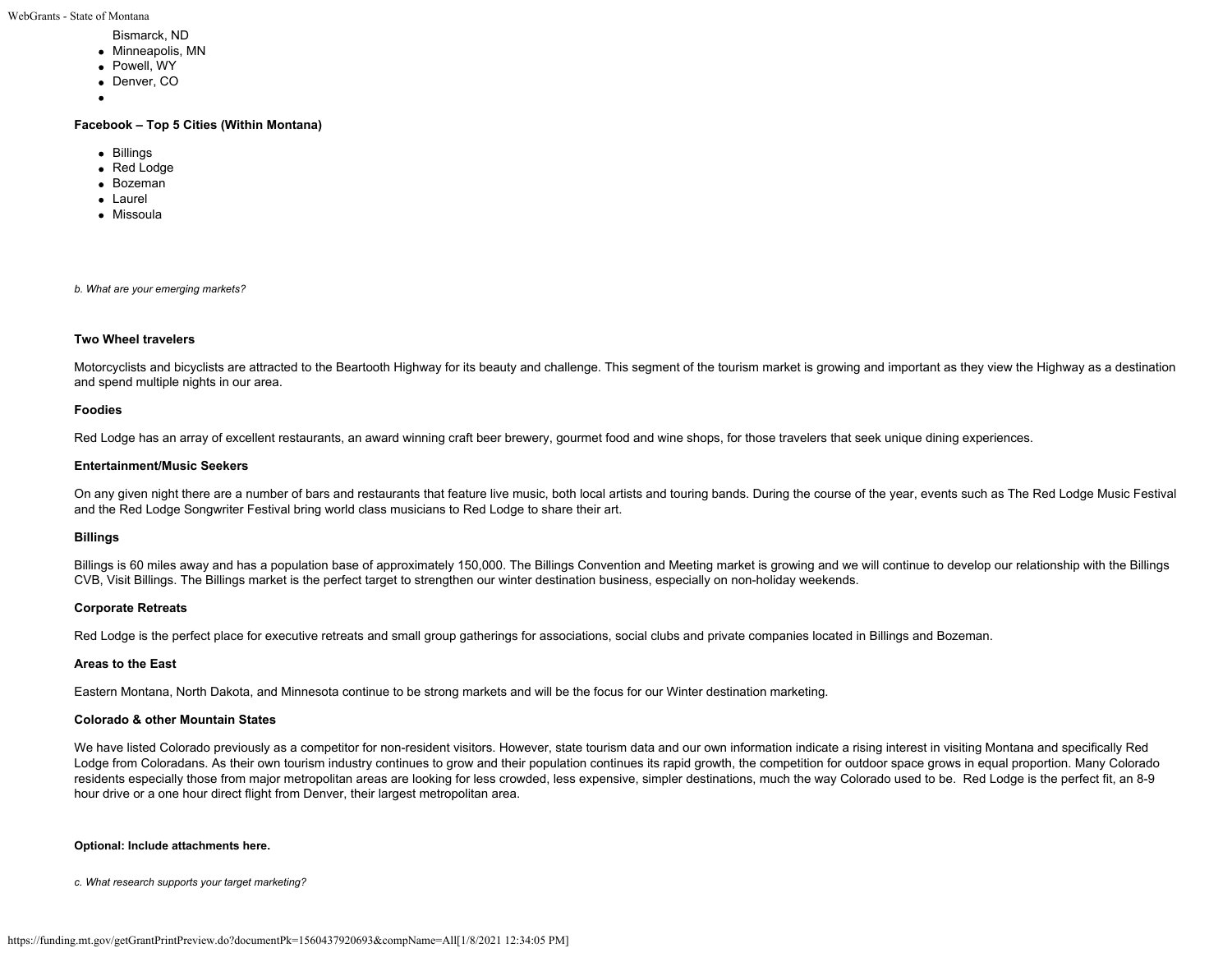WebGrants - State of Montana

- Bismarck, ND
- Minneapolis, MN
- Powell, WY
- Denver, CO
- 

#### **Facebook – Top 5 Cities (Within Montana)**

- Billings
- Red Lodge
- Bozeman
- Laurel
- Missoula

*b. What are your emerging markets?*

## **Two Wheel travelers**

Motorcyclists and bicyclists are attracted to the Beartooth Highway for its beauty and challenge. This segment of the tourism market is growing and important as they view the Highway as a destination and spend multiple nights in our area.

#### **Foodies**

Red Lodge has an array of excellent restaurants, an award winning craft beer brewery, gourmet food and wine shops, for those travelers that seek unique dining experiences.

#### **Entertainment/Music Seekers**

On any given night there are a number of bars and restaurants that feature live music, both local artists and touring bands. During the course of the year, events such as The Red Lodge Music Festival and the Red Lodge Songwriter Festival bring world class musicians to Red Lodge to share their art.

## **Billings**

Billings is 60 miles away and has a population base of approximately 150,000. The Billings Convention and Meeting market is growing and we will continue to develop our relationship with the Billings CVB, Visit Billings. The Billings market is the perfect target to strengthen our winter destination business, especially on non-holiday weekends.

## **Corporate Retreats**

Red Lodge is the perfect place for executive retreats and small group gatherings for associations, social clubs and private companies located in Billings and Bozeman.

#### **Areas to the East**

Eastern Montana, North Dakota, and Minnesota continue to be strong markets and will be the focus for our Winter destination marketing.

#### **Colorado & other Mountain States**

We have listed Colorado previously as a competitor for non-resident visitors. However, state tourism data and our own information indicate a rising interest in visiting Montana and specifically Red Lodge from Coloradans. As their own tourism industry continues to grow and their population continues its rapid growth, the competition for outdoor space grows in equal proportion. Many Colorado residents especially those from major metropolitan areas are looking for less crowded, less expensive, simpler destinations, much the way Colorado used to be. Red Lodge is the perfect fit, an 8-9 hour drive or a one hour direct flight from Denver, their largest metropolitan area.

#### **Optional: Include attachments here.**

*c. What research supports your target marketing?*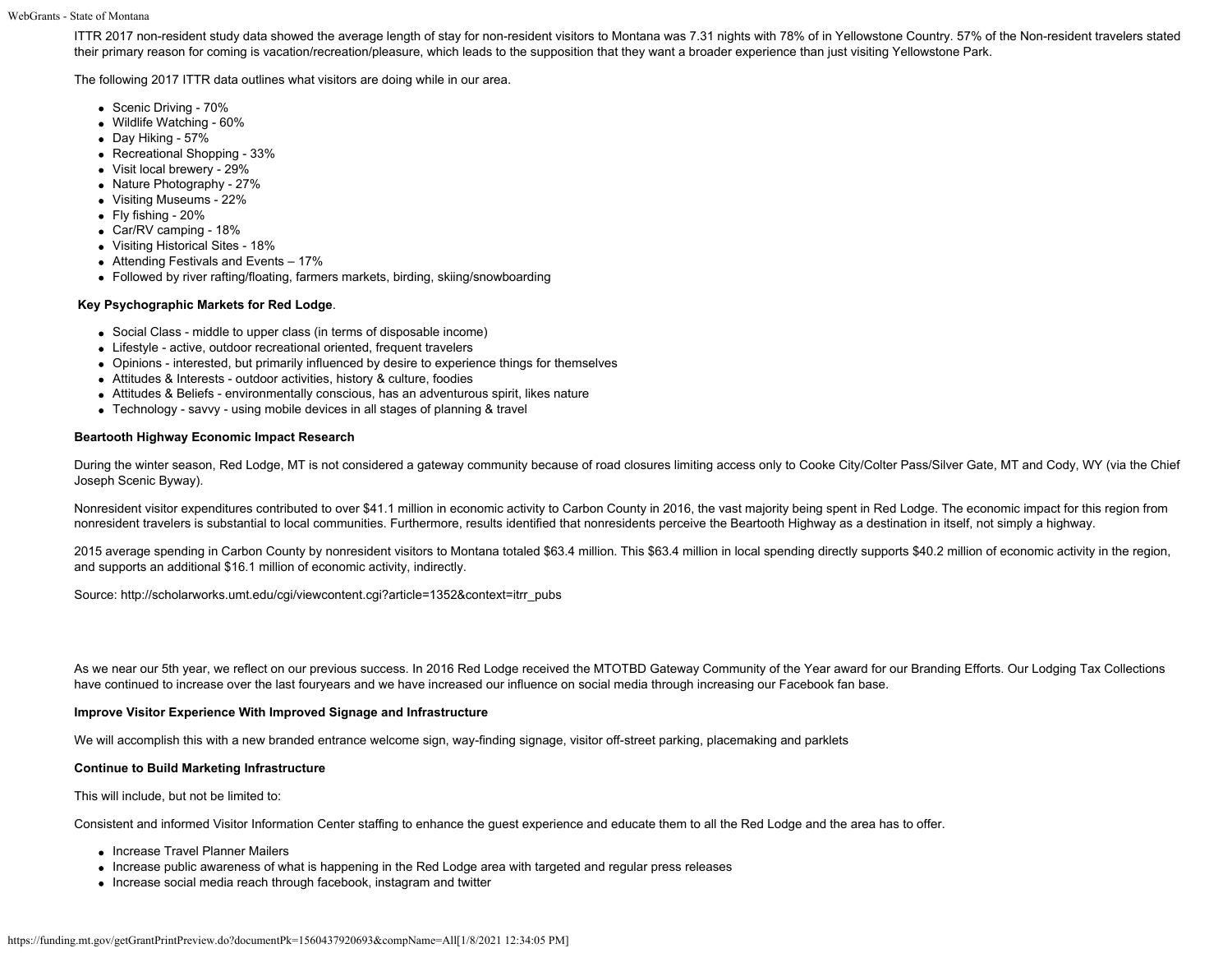WebGrants - State of Montana

ITTR 2017 non-resident study data showed the average length of stay for non-resident visitors to Montana was 7.31 nights with 78% of in Yellowstone Country. 57% of the Non-resident travelers stated their primary reason for coming is vacation/recreation/pleasure, which leads to the supposition that they want a broader experience than just visiting Yellowstone Park.

The following 2017 ITTR data outlines what visitors are doing while in our area.

- Scenic Driving 70%
- Wildlife Watching 60%
- Day Hiking 57%
- Recreational Shopping 33%
- Visit local brewery 29%
- Nature Photography 27%
- Visiting Museums 22%
- Fly fishing 20%
- Car/RV camping 18%
- Visiting Historical Sites 18%
- Attending Festivals and Events 17%
- Followed by river rafting/floating, farmers markets, birding, skiing/snowboarding

## **Key Psychographic Markets for Red Lodge**.

- Social Class middle to upper class (in terms of disposable income)
- Lifestyle active, outdoor recreational oriented, frequent travelers
- Opinions interested, but primarily influenced by desire to experience things for themselves
- Attitudes & Interests outdoor activities, history & culture, foodies
- Attitudes & Beliefs environmentally conscious, has an adventurous spirit, likes nature
- Technology savvy using mobile devices in all stages of planning & travel

## **Beartooth Highway Economic Impact Research**

During the winter season, Red Lodge, MT is not considered a gateway community because of road closures limiting access only to Cooke City/Colter Pass/Silver Gate, MT and Cody, WY (via the Chief Joseph Scenic Byway).

Nonresident visitor expenditures contributed to over \$41.1 million in economic activity to Carbon County in 2016, the vast majority being spent in Red Lodge. The economic impact for this region from nonresident travelers is substantial to local communities. Furthermore, results identified that nonresidents perceive the Beartooth Highway as a destination in itself, not simply a highway.

2015 average spending in Carbon County by nonresident visitors to Montana totaled \$63.4 million. This \$63.4 million in local spending directly supports \$40.2 million of economic activity in the region, and supports an additional \$16.1 million of economic activity, indirectly.

Source: http://scholarworks.umt.edu/cgi/viewcontent.cgi?article=1352&context=itrr\_pubs

As we near our 5th year, we reflect on our previous success. In 2016 Red Lodge received the MTOTBD Gateway Community of the Year award for our Branding Efforts. Our Lodging Tax Collections have continued to increase over the last fouryears and we have increased our influence on social media through increasing our Facebook fan base.

## **Improve Visitor Experience With Improved Signage and Infrastructure**

We will accomplish this with a new branded entrance welcome sign, way-finding signage, visitor off-street parking, placemaking and parklets

## **Continue to Build Marketing Infrastructure**

This will include, but not be limited to:

Consistent and informed Visitor Information Center staffing to enhance the guest experience and educate them to all the Red Lodge and the area has to offer.

- Increase Travel Planner Mailers
- Increase public awareness of what is happening in the Red Lodge area with targeted and regular press releases
- Increase social media reach through facebook, instagram and twitter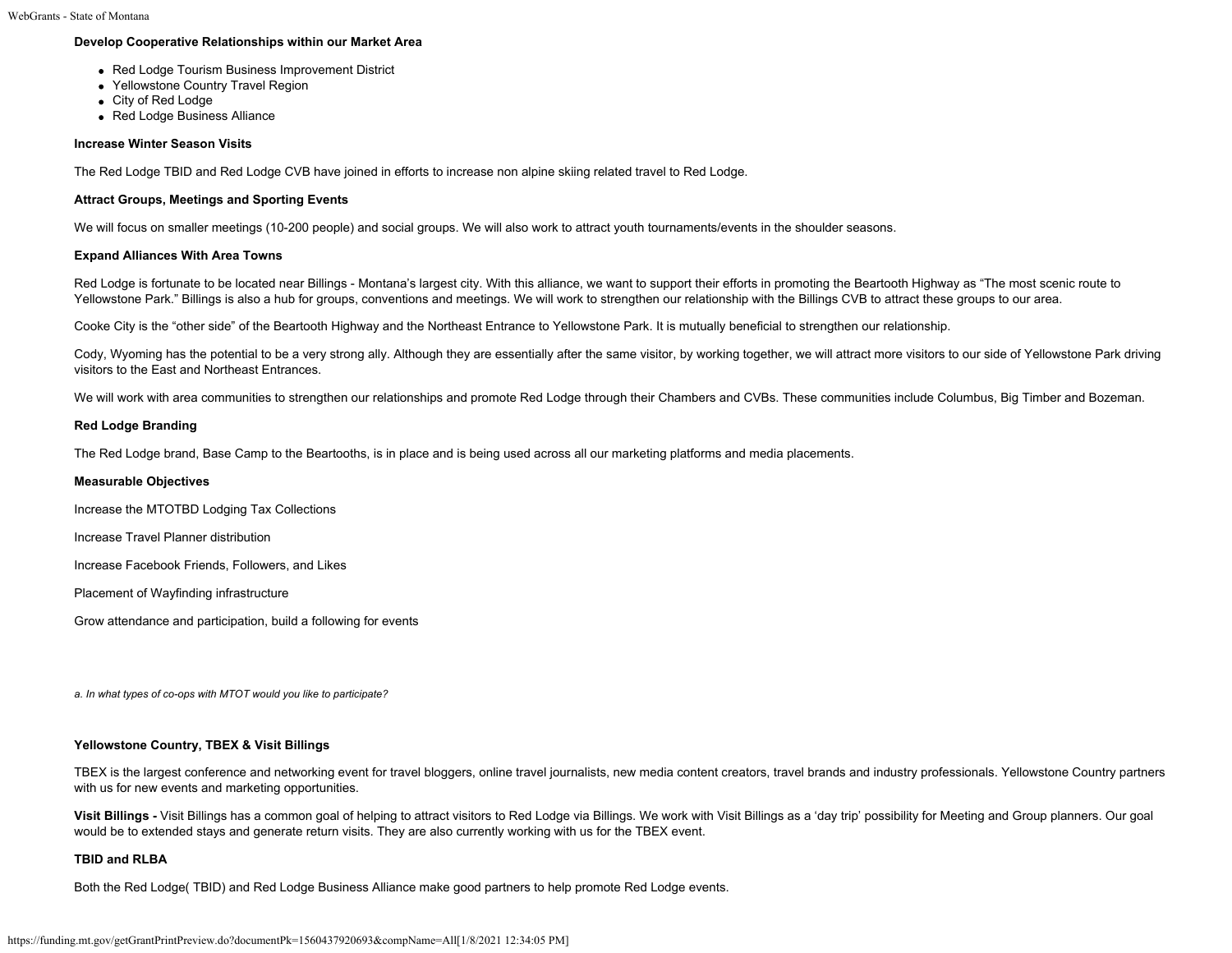# **Develop Cooperative Relationships within our Market Area**

- Red Lodge Tourism Business Improvement District
- Yellowstone Country Travel Region
- City of Red Lodge
- Red Lodge Business Alliance

# **Increase Winter Season Visits**

The Red Lodge TBID and Red Lodge CVB have joined in efforts to increase non alpine skiing related travel to Red Lodge.

# **Attract Groups, Meetings and Sporting Events**

We will focus on smaller meetings (10-200 people) and social groups. We will also work to attract youth tournaments/events in the shoulder seasons.

# **Expand Alliances With Area Towns**

Red Lodge is fortunate to be located near Billings - Montana's largest city. With this alliance, we want to support their efforts in promoting the Beartooth Highway as "The most scenic route to Yellowstone Park." Billings is also a hub for groups, conventions and meetings. We will work to strengthen our relationship with the Billings CVB to attract these groups to our area.

Cooke City is the "other side" of the Beartooth Highway and the Northeast Entrance to Yellowstone Park. It is mutually beneficial to strengthen our relationship.

Cody, Wyoming has the potential to be a very strong ally. Although they are essentially after the same visitor, by working together, we will attract more visitors to our side of Yellowstone Park driving visitors to the East and Northeast Entrances.

We will work with area communities to strengthen our relationships and promote Red Lodge through their Chambers and CVBs. These communities include Columbus, Big Timber and Bozeman.

## **Red Lodge Branding**

The Red Lodge brand, Base Camp to the Beartooths, is in place and is being used across all our marketing platforms and media placements.

#### **Measurable Objectives**

Increase the MTOTBD Lodging Tax Collections

Increase Travel Planner distribution

Increase Facebook Friends, Followers, and Likes

Placement of Wayfinding infrastructure

Grow attendance and participation, build a following for events

*a. In what types of co-ops with MTOT would you like to participate?*

## **Yellowstone Country, TBEX & Visit Billings**

TBEX is the largest conference and networking event for travel bloggers, online travel journalists, new media content creators, travel brands and industry professionals. Yellowstone Country partners with us for new events and marketing opportunities.

Visit Billings - Visit Billings has a common goal of helping to attract visitors to Red Lodge via Billings. We work with Visit Billings as a 'day trip' possibility for Meeting and Group planners. Our goal would be to extended stays and generate return visits. They are also currently working with us for the TBEX event.

## **TBID and RLBA**

Both the Red Lodge( TBID) and Red Lodge Business Alliance make good partners to help promote Red Lodge events.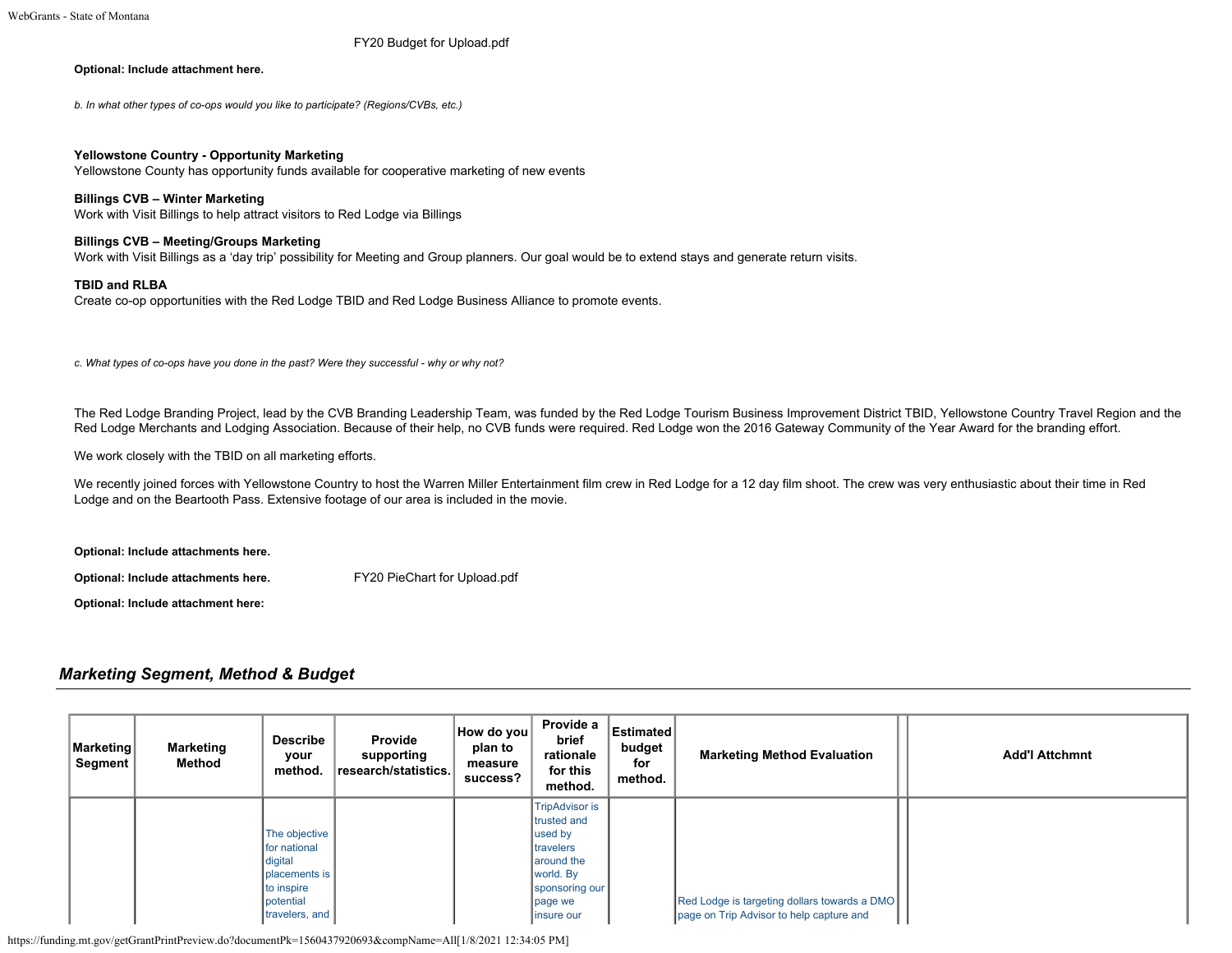[FY20 Budget for Upload.pdf](https://funding.mt.gov/fileDownload.jsp?filename=1556651522423_FY20+Budget+for+Upload.pdf)

#### **Optional: Include attachment here.**

*b. In what other types of co-ops would you like to participate? (Regions/CVBs, etc.)*

#### **Yellowstone Country - Opportunity Marketing**

Yellowstone County has opportunity funds available for cooperative marketing of new events

#### **Billings CVB – Winter Marketing**

Work with Visit Billings to help attract visitors to Red Lodge via Billings

#### **Billings CVB – Meeting/Groups Marketing**

Work with Visit Billings as a 'day trip' possibility for Meeting and Group planners. Our goal would be to extend stays and generate return visits.

#### **TBID and RLBA**

Create co-op opportunities with the Red Lodge TBID and Red Lodge Business Alliance to promote events.

*c. What types of co-ops have you done in the past? Were they successful - why or why not?*

The Red Lodge Branding Project, lead by the CVB Branding Leadership Team, was funded by the Red Lodge Tourism Business Improvement District TBID, Yellowstone Country Travel Region and the Red Lodge Merchants and Lodging Association. Because of their help, no CVB funds were required. Red Lodge won the 2016 Gateway Community of the Year Award for the branding effort.

We work closely with the TBID on all marketing efforts.

We recently joined forces with Yellowstone Country to host the Warren Miller Entertainment film crew in Red Lodge for a 12 day film shoot. The crew was very enthusiastic about their time in Red Lodge and on the Beartooth Pass. Extensive footage of our area is included in the movie.

**Optional: Include attachments here.**

**Optional: Include attachments here.** [FY20 PieChart for Upload.pdf](https://funding.mt.gov/fileDownload.jsp?filename=1556651522415_FY20+PieChart+for+Upload.pdf)

**Optional: Include attachment here:**

# *Marketing Segment, Method & Budget*

| <b>Marketing</b><br>Segment | Marketing<br>Method | <b>Describe</b><br>your<br>method. | Provide<br>supporting<br> research/statistics. | How do you<br>plan to<br>measure<br>success? | Provide a<br>brief<br>rationale<br>for this<br>method. | <b>Estimated</b><br>budget<br>for<br>method. | <b>Marketing Method Evaluation</b>           | <b>Add'l Attchmnt</b> |
|-----------------------------|---------------------|------------------------------------|------------------------------------------------|----------------------------------------------|--------------------------------------------------------|----------------------------------------------|----------------------------------------------|-----------------------|
|                             |                     |                                    |                                                |                                              | <b>TripAdvisor is</b>                                  |                                              |                                              |                       |
|                             |                     |                                    |                                                |                                              | <b>Itrusted and</b>                                    |                                              |                                              |                       |
|                             |                     | The objective                      |                                                |                                              | used by                                                |                                              |                                              |                       |
|                             |                     | for national                       |                                                |                                              | <b>Itravelers</b>                                      |                                              |                                              |                       |
|                             |                     | digital                            |                                                |                                              | <b>laround</b> the                                     |                                              |                                              |                       |
|                             |                     | <b>I</b> placements is             |                                                |                                              | world. By                                              |                                              |                                              |                       |
|                             |                     | to inspire                         |                                                |                                              | sponsoring our                                         |                                              |                                              |                       |
|                             |                     | potential                          |                                                |                                              | page we                                                |                                              | Red Lodge is targeting dollars towards a DMO |                       |
|                             |                     | travelers, and                     |                                                |                                              | linsure our                                            |                                              | page on Trip Advisor to help capture and     |                       |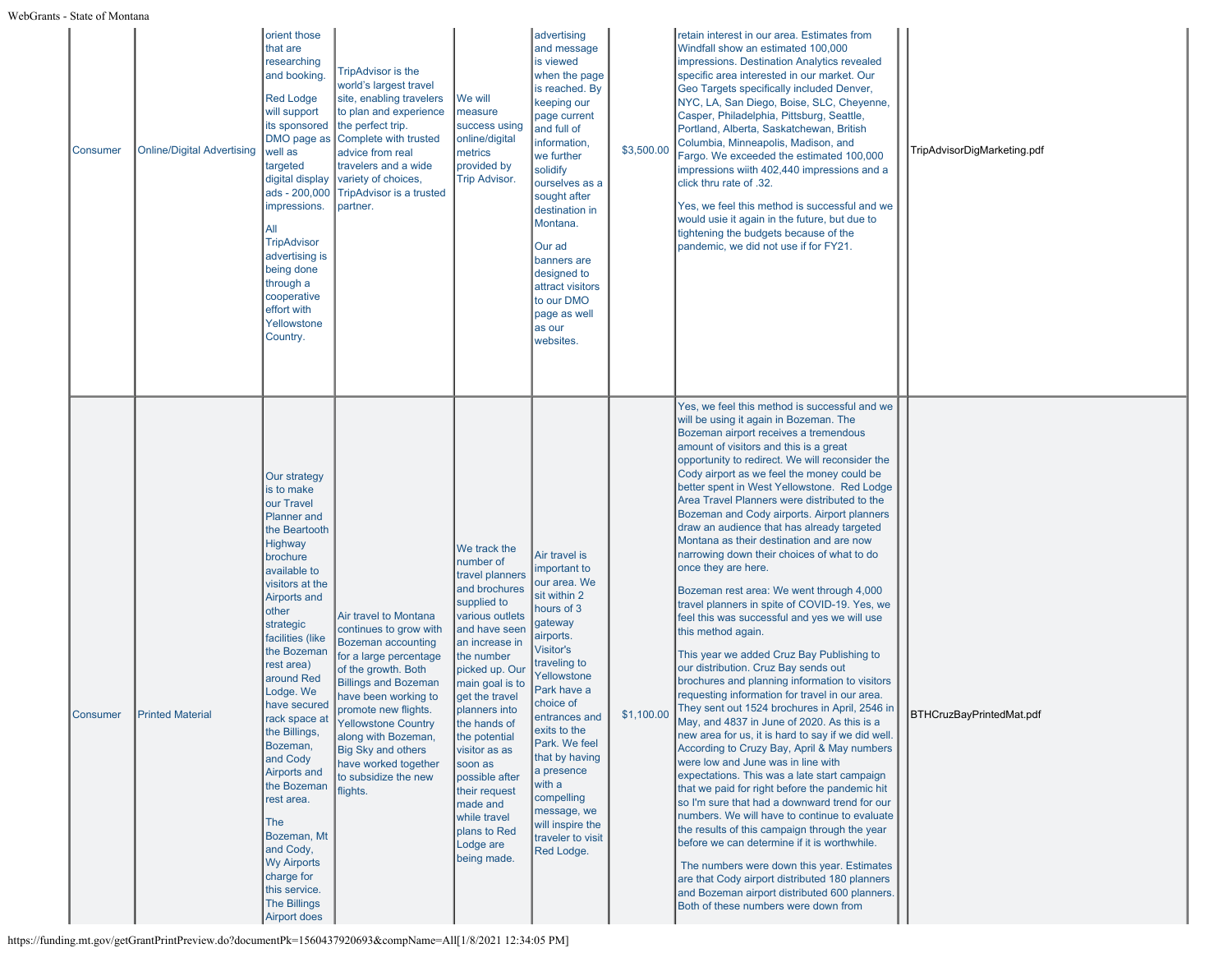| Consumer | <b>Online/Digital Advertising</b> | orient those<br>that are<br>researching<br>and booking.<br><b>Red Lodge</b><br>will support<br>its sponsored<br>DMO page as<br>well as<br>targeted<br>digital display<br>ads - 200,000<br>impressions.<br>All<br><b>TripAdvisor</b><br>advertising is<br>being done<br>through a<br>cooperative<br>effort with<br>Yellowstone<br>Country.                                                                                                                                                                         | <b>TripAdvisor is the</b><br>world's largest travel<br>site, enabling travelers<br>to plan and experience<br>the perfect trip.<br>Complete with trusted<br>advice from real<br>travelers and a wide<br>variety of choices,<br><b>TripAdvisor is a trusted</b><br>partner.                                                                           | We will<br>measure<br>success using<br>online/digital<br>metrics<br>provided by<br><b>Trip Advisor.</b>                                                                                                                                                                                                                                                                                          | advertising<br>and message<br>is viewed<br>when the page<br>is reached. By<br>keeping our<br>page current<br>and full of<br>information,<br>we further<br>solidify<br>ourselves as a<br>sought after<br>destination in<br>Montana.<br>Our ad<br>banners are<br>designed to<br>attract visitors<br>to our DMO<br>page as well<br>as our<br>websites.         | \$3,500.00 | retain interest in our area. Estimates from<br>Windfall show an estimated 100,000<br>impressions. Destination Analytics revealed<br>specific area interested in our market. Our<br>Geo Targets specifically included Denver,<br>NYC, LA, San Diego, Boise, SLC, Cheyenne,<br>Casper, Philadelphia, Pittsburg, Seattle,<br>Portland, Alberta, Saskatchewan, British<br>Columbia, Minneapolis, Madison, and<br>Fargo. We exceeded the estimated 100,000<br>impressions wiith 402,440 impressions and a<br>click thru rate of .32.<br>Yes, we feel this method is successful and we<br>would usie it again in the future, but due to<br>tightening the budgets because of the<br>pandemic, we did not use if for FY21.                                                                                                                                                                                                                                                                                                                                                                                                                                                                                                                                                                                                                                                                                                                                                                                                                                                                                                                                                                            | TripAdvisorDigMarketing.pdf |
|----------|-----------------------------------|-------------------------------------------------------------------------------------------------------------------------------------------------------------------------------------------------------------------------------------------------------------------------------------------------------------------------------------------------------------------------------------------------------------------------------------------------------------------------------------------------------------------|-----------------------------------------------------------------------------------------------------------------------------------------------------------------------------------------------------------------------------------------------------------------------------------------------------------------------------------------------------|--------------------------------------------------------------------------------------------------------------------------------------------------------------------------------------------------------------------------------------------------------------------------------------------------------------------------------------------------------------------------------------------------|-------------------------------------------------------------------------------------------------------------------------------------------------------------------------------------------------------------------------------------------------------------------------------------------------------------------------------------------------------------|------------|------------------------------------------------------------------------------------------------------------------------------------------------------------------------------------------------------------------------------------------------------------------------------------------------------------------------------------------------------------------------------------------------------------------------------------------------------------------------------------------------------------------------------------------------------------------------------------------------------------------------------------------------------------------------------------------------------------------------------------------------------------------------------------------------------------------------------------------------------------------------------------------------------------------------------------------------------------------------------------------------------------------------------------------------------------------------------------------------------------------------------------------------------------------------------------------------------------------------------------------------------------------------------------------------------------------------------------------------------------------------------------------------------------------------------------------------------------------------------------------------------------------------------------------------------------------------------------------------------------------------------------------------------------------------------------------------|-----------------------------|
| Consumer | <b>Printed Material</b>           | Our strategy<br>is to make<br>our Travel<br><b>Planner</b> and<br>the Beartooth<br>Highway<br>brochure<br>available to<br>visitors at the<br>Airports and<br>other<br>strategic<br>facilities (like<br>the Bozeman<br>rest area)<br>around Red<br>Lodge. We<br>have secured<br>rack space at<br>the Billings,<br>Bozeman,<br>and Cody<br>Airports and<br>the Bozeman<br>rest area.<br>The<br>Bozeman, Mt<br>and Cody,<br><b>Wy Airports</b><br>charge for<br>this service.<br><b>The Billings</b><br>Airport does | Air travel to Montana<br>continues to grow with<br>Bozeman accounting<br>for a large percentage<br>of the growth. Both<br><b>Billings and Bozeman</b><br>have been working to<br>promote new flights.<br><b>Yellowstone Country</b><br>along with Bozeman,<br><b>Big Sky and others</b><br>have worked together<br>to subsidize the new<br>flights. | We track the<br>number of<br>travel planners<br>and brochures<br>supplied to<br>various outlets<br>and have seen<br>an increase in<br>the number<br>picked up. Our<br>main goal is to<br>get the travel<br>planners into<br>the hands of<br>the potential<br>visitor as as<br>soon as<br>possible after<br>their request<br>made and<br>while travel<br>plans to Red<br>Lodge are<br>being made. | Air travel is<br>important to<br>our area. We<br>sit within 2<br>hours of 3<br>gateway<br>airports.<br>Visitor's<br>traveling to<br>Yellowstone<br>Park have a<br>choice of<br>entrances and<br>exits to the<br>Park. We feel<br>that by having<br>a presence<br>with a<br>compelling<br>message, we<br>will inspire the<br>traveler to visit<br>Red Lodge. | \$1,100.00 | Yes, we feel this method is successful and we<br>will be using it again in Bozeman. The<br>Bozeman airport receives a tremendous<br>amount of visitors and this is a great<br>opportunity to redirect. We will reconsider the<br>Cody airport as we feel the money could be<br>better spent in West Yellowstone. Red Lodge<br>Area Travel Planners were distributed to the<br>Bozeman and Cody airports. Airport planners<br>draw an audience that has already targeted<br>Montana as their destination and are now<br>narrowing down their choices of what to do<br>once they are here.<br>Bozeman rest area: We went through 4,000<br>travel planners in spite of COVID-19. Yes, we<br>feel this was successful and yes we will use<br>this method again.<br>This year we added Cruz Bay Publishing to<br>our distribution. Cruz Bay sends out<br>brochures and planning information to visitors<br>requesting information for travel in our area.<br>They sent out 1524 brochures in April, 2546 in<br>May, and 4837 in June of 2020. As this is a<br>new area for us, it is hard to say if we did well.<br>According to Cruzy Bay, April & May numbers<br>were low and June was in line with<br>expectations. This was a late start campaign<br>that we paid for right before the pandemic hit<br>so I'm sure that had a downward trend for our<br>numbers. We will have to continue to evaluate<br>the results of this campaign through the year<br>before we can determine if it is worthwhile.<br>The numbers were down this year. Estimates<br>are that Cody airport distributed 180 planners<br>and Bozeman airport distributed 600 planners.<br>Both of these numbers were down from | BTHCruzBayPrintedMat.pdf    |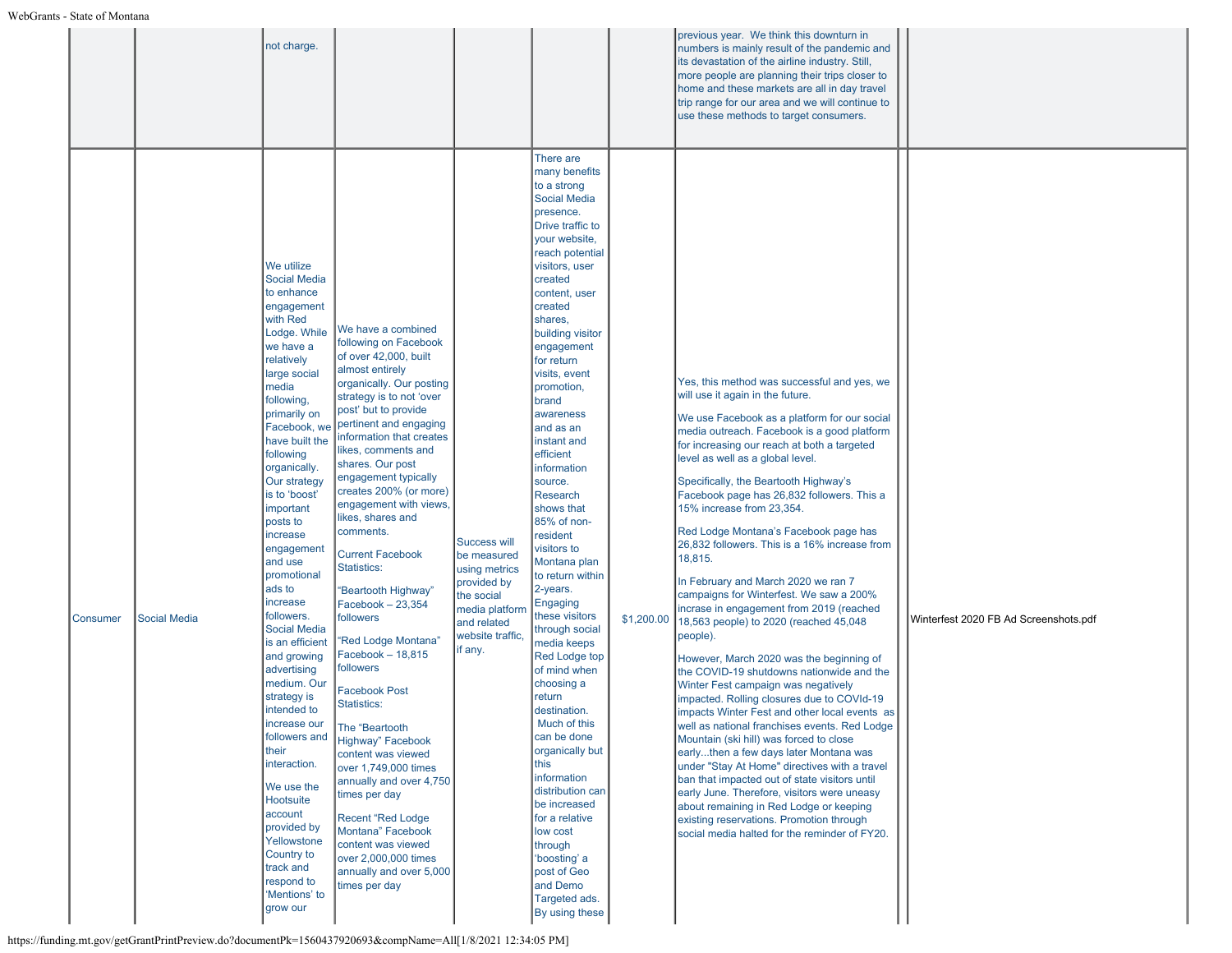|          |                     | not charge.                                                                                                                                                                                                                                                                                                                                                                                                                                                                                                                                                                                                                                                                                                                                                                                                                                                                                                                                                                                                                                                                                                                                                                                                                                                                                                                                                                                                                        |                                                                                                                                                                                                                                                                                                                    |                                                                                                                                                                                                                                                                                                                                                                                                                                                                                                                                                                                                                                                                                                                                                                                                                                                                                                 |            | previous year. We think this downturn in<br>numbers is mainly result of the pandemic and<br>its devastation of the airline industry. Still,<br>more people are planning their trips closer to<br>home and these markets are all in day travel<br>trip range for our area and we will continue to<br>use these methods to target consumers.                                                                                                                                                                                                                                                                                                                                                                                                                                                                                                                                                                                                                                                                                                                                                                                                                                                                                                                                                                                                   |                                       |
|----------|---------------------|------------------------------------------------------------------------------------------------------------------------------------------------------------------------------------------------------------------------------------------------------------------------------------------------------------------------------------------------------------------------------------------------------------------------------------------------------------------------------------------------------------------------------------------------------------------------------------------------------------------------------------------------------------------------------------------------------------------------------------------------------------------------------------------------------------------------------------------------------------------------------------------------------------------------------------------------------------------------------------------------------------------------------------------------------------------------------------------------------------------------------------------------------------------------------------------------------------------------------------------------------------------------------------------------------------------------------------------------------------------------------------------------------------------------------------|--------------------------------------------------------------------------------------------------------------------------------------------------------------------------------------------------------------------------------------------------------------------------------------------------------------------|-------------------------------------------------------------------------------------------------------------------------------------------------------------------------------------------------------------------------------------------------------------------------------------------------------------------------------------------------------------------------------------------------------------------------------------------------------------------------------------------------------------------------------------------------------------------------------------------------------------------------------------------------------------------------------------------------------------------------------------------------------------------------------------------------------------------------------------------------------------------------------------------------|------------|----------------------------------------------------------------------------------------------------------------------------------------------------------------------------------------------------------------------------------------------------------------------------------------------------------------------------------------------------------------------------------------------------------------------------------------------------------------------------------------------------------------------------------------------------------------------------------------------------------------------------------------------------------------------------------------------------------------------------------------------------------------------------------------------------------------------------------------------------------------------------------------------------------------------------------------------------------------------------------------------------------------------------------------------------------------------------------------------------------------------------------------------------------------------------------------------------------------------------------------------------------------------------------------------------------------------------------------------|---------------------------------------|
| Consumer | <b>Social Media</b> | We utilize<br><b>Social Media</b><br>to enhance<br>engagement<br>with Red<br>We have a combined<br>Lodge. While<br>following on Facebook<br>we have a<br>of over 42,000, built<br>relatively<br>almost entirely<br>large social<br>media<br>strategy is to not 'over<br>following,<br>post' but to provide<br>primarily on<br>pertinent and engaging<br>Facebook, we<br>have built the<br>likes, comments and<br>following<br>shares. Our post<br>organically.<br>engagement typically<br>Our strategy<br>is to 'boost'<br>important<br>likes, shares and<br>posts to<br>comments.<br>increase<br>engagement<br><b>Current Facebook</b><br>and use<br><b>Statistics:</b><br>promotional<br>ads to<br>'Beartooth Highway"<br>increase<br>Facebook - 23,354<br>followers.<br>followers<br><b>Social Media</b><br>'Red Lodge Montana"<br>is an efficient<br>Facebook - 18,815<br>and growing<br>followers<br>advertising<br>medium. Our<br><b>Facebook Post</b><br>strategy is<br>Statistics:<br>intended to<br>ncrease our<br>The "Beartooth<br>followers and<br>Highway" Facebook<br>their<br>content was viewed<br>interaction.<br>over 1,749,000 times<br>We use the<br>times per day<br>Hootsuite<br>account<br><b>Recent "Red Lodge</b><br>provided by<br>Montana" Facebook<br>Yellowstone<br>content was viewed<br>Country to<br>over 2,000,000 times<br>track and<br>respond to<br>times per day<br>'Mentions' to<br>grow our | organically. Our posting<br>information that creates<br>creates 200% (or more)<br>engagement with views,<br><b>Success will</b><br>be measured<br>using metrics<br>provided by<br>the social<br>media platform<br>and related<br>website traffic,<br>if any.<br>annually and over 4,750<br>annually and over 5,000 | There are<br>many benefits<br>to a strong<br><b>Social Media</b><br>presence.<br>Drive traffic to<br>your website,<br>reach potential<br>visitors, user<br>created<br>content, user<br>created<br>shares,<br>building visitor<br>engagement<br>for return<br>visits, event<br>promotion,<br>brand<br>awareness<br>and as an<br>instant and<br>efficient<br>information<br>source.<br><b>Research</b><br>shows that<br>85% of non-<br>resident<br>visitors to<br>Montana plan<br>to return within<br>2-years.<br>Engaging<br>these visitors<br>through social<br>media keeps<br><b>Red Lodge top</b><br>of mind when<br>choosing a<br>return<br>destination.<br>Much of this<br>can be done<br>organically but<br>this<br>information<br>distribution can<br>be increased<br>for a relative<br>low cost<br>through<br>'boosting' a<br>post of Geo<br>and Demo<br>Targeted ads.<br>By using these | \$1,200.00 | Yes, this method was successful and yes, we<br>will use it again in the future.<br>We use Facebook as a platform for our social<br>media outreach. Facebook is a good platform<br>for increasing our reach at both a targeted<br>level as well as a global level.<br>Specifically, the Beartooth Highway's<br>Facebook page has 26,832 followers. This a<br>15% increase from 23,354.<br>Red Lodge Montana's Facebook page has<br>26,832 followers. This is a 16% increase from<br>18,815.<br>In February and March 2020 we ran 7<br>campaigns for Winterfest. We saw a 200%<br>incrase in engagement from 2019 (reached<br>18,563 people) to 2020 (reached 45,048<br>people).<br>However, March 2020 was the beginning of<br>the COVID-19 shutdowns nationwide and the<br>Winter Fest campaign was negatively<br>impacted. Rolling closures due to COVId-19<br>impacts Winter Fest and other local events as<br>well as national franchises events. Red Lodge<br>Mountain (ski hill) was forced to close<br>earlythen a few days later Montana was<br>under "Stay At Home" directives with a travel<br>ban that impacted out of state visitors until<br>early June. Therefore, visitors were uneasy<br>about remaining in Red Lodge or keeping<br>existing reservations. Promotion through<br>social media halted for the reminder of FY20. | Winterfest 2020 FB Ad Screenshots.pdf |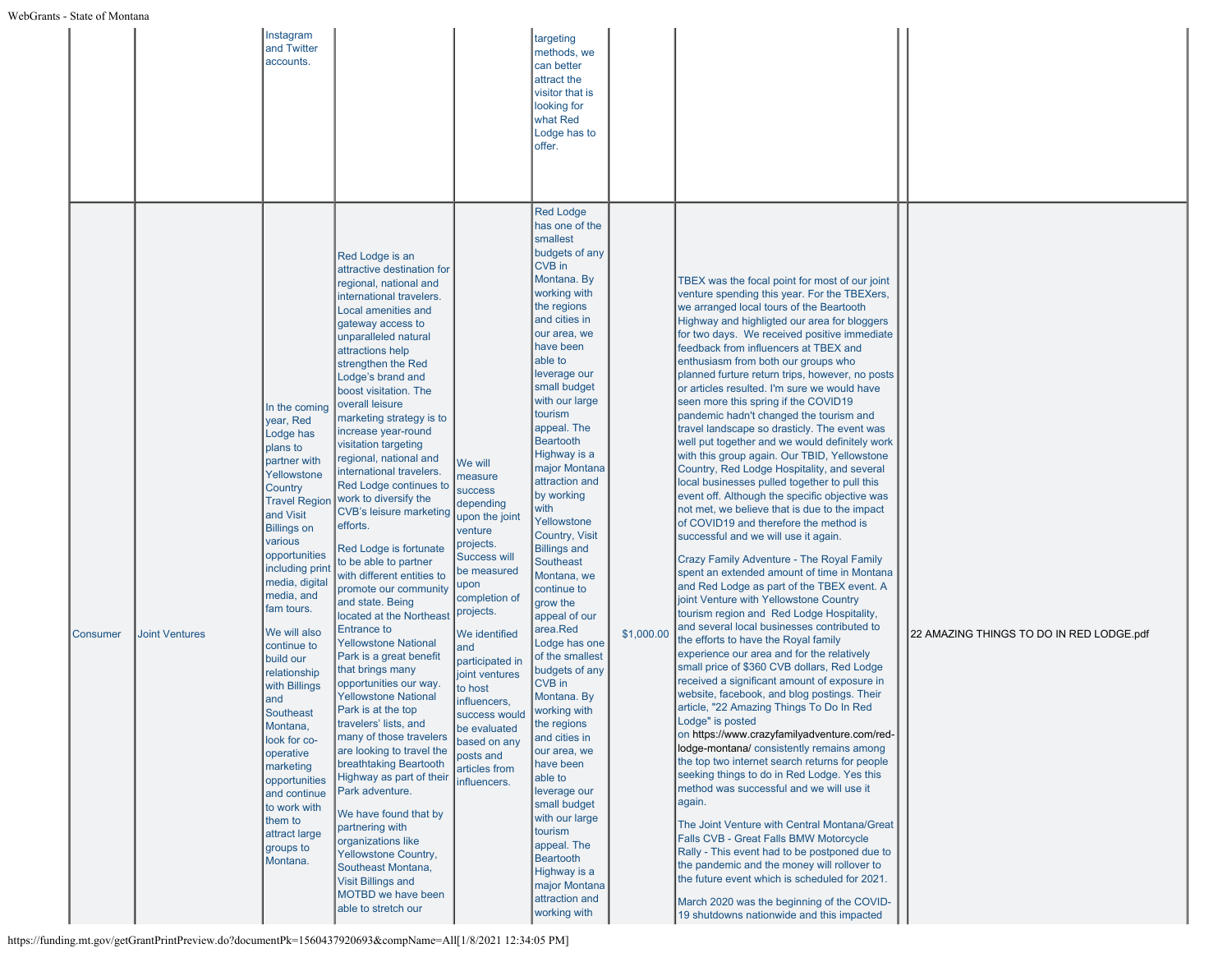|          |                       | Instagram<br>and Twitter<br>accounts.                                                                                                                                                                                                                                                                                                                                                                                                                                                                                     |                                                                                                                                                                                                                                                                                                                                                                                                                                                                                                                                                                                                                                                                                                                                                                                                                                                                                                                                                                                                                                                                                                                                                                                                                |                                                                                                                                                                                                                                                                                                                                                                | targeting<br>methods, we<br>can better<br>attract the<br>visitor that is<br>looking for<br>what Red<br>Lodge has to<br>offer.                                                                                                                                                                                                                                                                                                                                                                                                                                                                                                                                                                                                                                                                                                                                  |            |                                                                                                                                                                                                                                                                                                                                                                                                                                                                                                                                                                                                                                                                                                                                                                                                                                                                                                                                                                                                                                                                                                                                                                                                                                                                                                                                                                                                                                                                                                                                                                                                                                                                                                                                                                                                                                                                                                                                                                                                                                                                                                                                      |                                          |
|----------|-----------------------|---------------------------------------------------------------------------------------------------------------------------------------------------------------------------------------------------------------------------------------------------------------------------------------------------------------------------------------------------------------------------------------------------------------------------------------------------------------------------------------------------------------------------|----------------------------------------------------------------------------------------------------------------------------------------------------------------------------------------------------------------------------------------------------------------------------------------------------------------------------------------------------------------------------------------------------------------------------------------------------------------------------------------------------------------------------------------------------------------------------------------------------------------------------------------------------------------------------------------------------------------------------------------------------------------------------------------------------------------------------------------------------------------------------------------------------------------------------------------------------------------------------------------------------------------------------------------------------------------------------------------------------------------------------------------------------------------------------------------------------------------|----------------------------------------------------------------------------------------------------------------------------------------------------------------------------------------------------------------------------------------------------------------------------------------------------------------------------------------------------------------|----------------------------------------------------------------------------------------------------------------------------------------------------------------------------------------------------------------------------------------------------------------------------------------------------------------------------------------------------------------------------------------------------------------------------------------------------------------------------------------------------------------------------------------------------------------------------------------------------------------------------------------------------------------------------------------------------------------------------------------------------------------------------------------------------------------------------------------------------------------|------------|--------------------------------------------------------------------------------------------------------------------------------------------------------------------------------------------------------------------------------------------------------------------------------------------------------------------------------------------------------------------------------------------------------------------------------------------------------------------------------------------------------------------------------------------------------------------------------------------------------------------------------------------------------------------------------------------------------------------------------------------------------------------------------------------------------------------------------------------------------------------------------------------------------------------------------------------------------------------------------------------------------------------------------------------------------------------------------------------------------------------------------------------------------------------------------------------------------------------------------------------------------------------------------------------------------------------------------------------------------------------------------------------------------------------------------------------------------------------------------------------------------------------------------------------------------------------------------------------------------------------------------------------------------------------------------------------------------------------------------------------------------------------------------------------------------------------------------------------------------------------------------------------------------------------------------------------------------------------------------------------------------------------------------------------------------------------------------------------------------------------------------------|------------------------------------------|
| Consumer | <b>Joint Ventures</b> | In the coming<br>year, Red<br>Lodge has<br>plans to<br>partner with<br>Yellowstone<br>Country<br><b>Travel Region</b><br>and Visit<br><b>Billings on</b><br>various<br>opportunities<br>including print<br>media, digital<br>media, and<br>fam tours.<br>We will also<br>continue to<br>build our<br>relationship<br>with Billings<br>and<br><b>Southeast</b><br>Montana,<br>look for co-<br>operative<br>marketing<br>opportunities<br>and continue<br>to work with<br>them to<br>attract large<br>groups to<br>Montana. | Red Lodge is an<br>attractive destination for<br>regional, national and<br>international travelers.<br>Local amenities and<br>gateway access to<br>unparalleled natural<br>attractions help<br>strengthen the Red<br>Lodge's brand and<br>boost visitation. The<br>overall leisure<br>marketing strategy is to<br>increase year-round<br>visitation targeting<br>regional, national and<br>international travelers.<br>Red Lodge continues to<br>work to diversify the<br><b>CVB's leisure marketing</b><br>efforts.<br>Red Lodge is fortunate<br>to be able to partner<br>with different entities to<br>promote our community<br>and state. Being<br>located at the Northeast<br><b>Entrance to</b><br><b>Yellowstone National</b><br>Park is a great benefit<br>that brings many<br>opportunities our way.<br>Yellowstone National<br>Park is at the top<br>travelers' lists, and<br>many of those travelers<br>are looking to travel the<br>breathtaking Beartooth<br>Highway as part of their<br>Park adventure.<br>We have found that by<br>partnering with<br>organizations like<br>Yellowstone Country,<br>Southeast Montana,<br><b>Visit Billings and</b><br>MOTBD we have been<br>able to stretch our | We will<br>measure<br><b>success</b><br>depending<br>upon the joint<br>venture<br>projects.<br><b>Success will</b><br>be measured<br>upon<br>completion of<br>projects.<br>We identified<br>and<br>participated in<br>joint ventures<br>to host<br>influencers,<br>success would<br>be evaluated<br>based on any<br>posts and<br>articles from<br>influencers. | <b>Red Lodge</b><br>has one of the<br>smallest<br>budgets of any<br>CVB in<br>Montana. By<br>working with<br>the regions<br>and cities in<br>our area, we<br>have been<br>able to<br>leverage our<br>small budget<br>with our large<br>tourism<br>appeal. The<br><b>Beartooth</b><br>Highway is a<br>major Montana<br>attraction and<br>by working<br>with<br>Yellowstone<br>Country, Visit<br><b>Billings and</b><br><b>Southeast</b><br>Montana, we<br>continue to<br>grow the<br>appeal of our<br>area.Red<br>Lodge has one<br>of the smallest<br>budgets of any<br><b>CVB</b> in<br>Montana. By<br>working with<br>the regions<br>and cities in<br>our area, we<br>have been<br>able to<br>leverage our<br>small budget<br>with our large<br>tourism<br>appeal. The<br><b>Beartooth</b><br>Highway is a<br>major Montana<br>attraction and<br>working with | \$1,000.00 | TBEX was the focal point for most of our joint<br>venture spending this year. For the TBEXers,<br>we arranged local tours of the Beartooth<br>Highway and highligted our area for bloggers<br>for two days. We received positive immediate<br>feedback from influencers at TBEX and<br>enthusiasm from both our groups who<br>planned furture return trips, however, no posts<br>or articles resulted. I'm sure we would have<br>seen more this spring if the COVID19<br>pandemic hadn't changed the tourism and<br>travel landscape so drasticly. The event was<br>well put together and we would definitely work<br>with this group again. Our TBID, Yellowstone<br>Country, Red Lodge Hospitality, and several<br>local businesses pulled together to pull this<br>event off. Although the specific objective was<br>not met, we believe that is due to the impact<br>of COVID19 and therefore the method is<br>successful and we will use it again.<br>Crazy Family Adventure - The Royal Family<br>spent an extended amount of time in Montana<br>and Red Lodge as part of the TBEX event. A<br>joint Venture with Yellowstone Country<br>tourism region and Red Lodge Hospitality,<br>and several local businesses contributed to<br>the efforts to have the Royal family<br>experience our area and for the relatively<br>small price of \$360 CVB dollars, Red Lodge<br>received a significant amount of exposure in<br>website, facebook, and blog postings. Their<br>article, "22 Amazing Things To Do In Red<br>Lodge" is posted<br>on https://www.crazyfamilyadventure.com/red-<br>lodge-montana/consistently remains among<br>the top two internet search returns for people<br>seeking things to do in Red Lodge. Yes this<br>method was successful and we will use it<br>again.<br>The Joint Venture with Central Montana/Great<br>Falls CVB - Great Falls BMW Motorcycle<br>Rally - This event had to be postponed due to<br>the pandemic and the money will rollover to<br>the future event which is scheduled for 2021.<br>March 2020 was the beginning of the COVID-<br>19 shutdowns nationwide and this impacted | 22 AMAZING THINGS TO DO IN RED LODGE.pdf |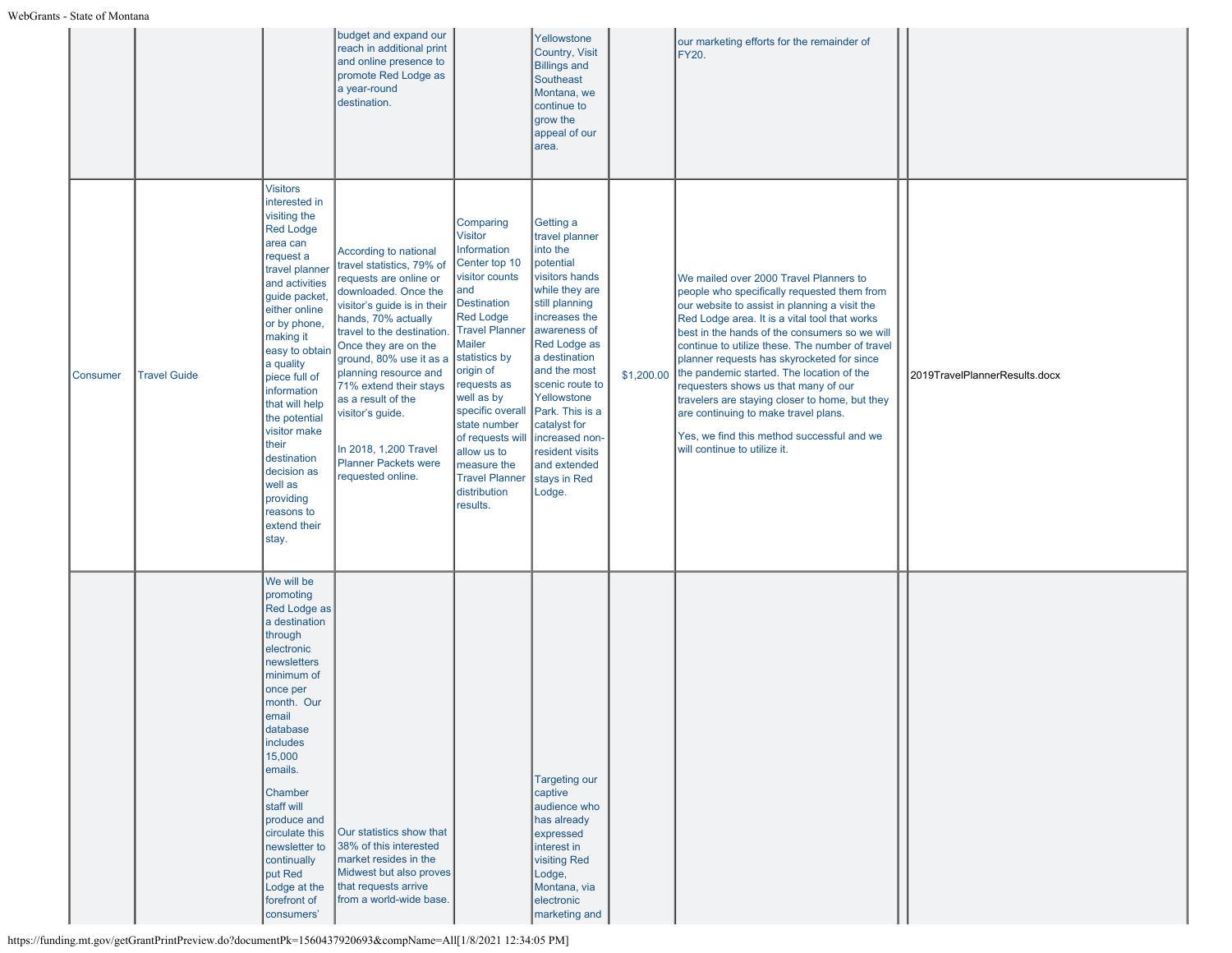|          |                     |                                                                                                                                                                                                                                                                                                                                                                                                                          | budget and expand our<br>reach in additional print<br>and online presence to<br>promote Red Lodge as<br>a year-round<br>destination.                                                                                                                                                                                                                                                                                 |                                                                                                                                                                                                                                                                                                                                                                                | Yellowstone<br>Country, Visit<br><b>Billings and</b><br>Southeast<br>Montana, we<br>continue to<br>grow the<br>appeal of our<br>area.                                                                                                                                                                                                            |            | our marketing efforts for the remainder of<br><b>FY20.</b>                                                                                                                                                                                                                                                                                                                                                                                                                                                                                                                                             |                               |
|----------|---------------------|--------------------------------------------------------------------------------------------------------------------------------------------------------------------------------------------------------------------------------------------------------------------------------------------------------------------------------------------------------------------------------------------------------------------------|----------------------------------------------------------------------------------------------------------------------------------------------------------------------------------------------------------------------------------------------------------------------------------------------------------------------------------------------------------------------------------------------------------------------|--------------------------------------------------------------------------------------------------------------------------------------------------------------------------------------------------------------------------------------------------------------------------------------------------------------------------------------------------------------------------------|--------------------------------------------------------------------------------------------------------------------------------------------------------------------------------------------------------------------------------------------------------------------------------------------------------------------------------------------------|------------|--------------------------------------------------------------------------------------------------------------------------------------------------------------------------------------------------------------------------------------------------------------------------------------------------------------------------------------------------------------------------------------------------------------------------------------------------------------------------------------------------------------------------------------------------------------------------------------------------------|-------------------------------|
| Consumer | <b>Travel Guide</b> | <b>Visitors</b><br>interested in<br>visiting the<br><b>Red Lodge</b><br>area can<br>request a<br>travel planner<br>and activities<br>guide packet,<br>either online<br>or by phone,<br>making it<br>easy to obtair<br>a quality<br>piece full of<br>information<br>that will help<br>the potential<br>visitor make<br>their<br>destination<br>decision as<br>well as<br>providing<br>reasons to<br>extend their<br>stay. | <b>According to national</b><br>travel statistics, 79% of<br>requests are online or<br>downloaded. Once the<br>visitor's guide is in their<br>hands, 70% actually<br>travel to the destination<br>Once they are on the<br>ground, 80% use it as a<br>planning resource and<br>71% extend their stays<br>as a result of the<br>visitor's guide.<br>In 2018, 1,200 Travel<br>Planner Packets were<br>requested online. | Comparing<br><b>Visitor</b><br>Information<br>Center top 10<br>visitor counts<br>and<br><b>Destination</b><br><b>Red Lodge</b><br><b>Travel Planner</b><br><b>Mailer</b><br>statistics by<br>origin of<br>requests as<br>well as by<br>specific overall<br>state number<br>of requests will<br>allow us to<br>measure the<br><b>Travel Planner</b><br>distribution<br>results. | Getting a<br>travel planner<br>into the<br>potential<br>visitors hands<br>while they are<br>still planning<br>increases the<br>awareness of<br>Red Lodge as<br>a destination<br>and the most<br>scenic route to<br>Yellowstone<br>Park. This is a<br>catalyst for<br>increased non-<br>resident visits<br>and extended<br>stays in Red<br>Lodge. | \$1,200.00 | We mailed over 2000 Travel Planners to<br>people who specifically requested them from<br>our website to assist in planning a visit the<br>Red Lodge area. It is a vital tool that works<br>best in the hands of the consumers so we will<br>continue to utilize these. The number of travel<br>planner requests has skyrocketed for since<br>the pandemic started. The location of the<br>requesters shows us that many of our<br>travelers are staying closer to home, but they<br>are continuing to make travel plans.<br>Yes, we find this method successful and we<br>will continue to utilize it. | 2019TravelPlannerResults.docx |
|          |                     | We will be<br>promoting<br>Red Lodge as<br>a destination<br>through<br>electronic<br>newsletters<br>minimum of<br>once per<br>month. Our<br>email<br>database<br>includes<br>15,000<br>emails.<br>Chamber<br>staff will<br>produce and<br>circulate this<br>newsletter to<br>continually<br>put Red<br>Lodge at the<br>forefront of<br>consumers'                                                                        | Our statistics show that<br>38% of this interested<br>market resides in the<br>Midwest but also proves<br>that requests arrive<br>from a world-wide base.                                                                                                                                                                                                                                                            |                                                                                                                                                                                                                                                                                                                                                                                | <b>Targeting our</b><br>captive<br>audience who<br>has already<br>expressed<br>interest in<br>visiting Red<br>Lodge,<br>Montana, via<br>electronic<br>marketing and                                                                                                                                                                              |            |                                                                                                                                                                                                                                                                                                                                                                                                                                                                                                                                                                                                        |                               |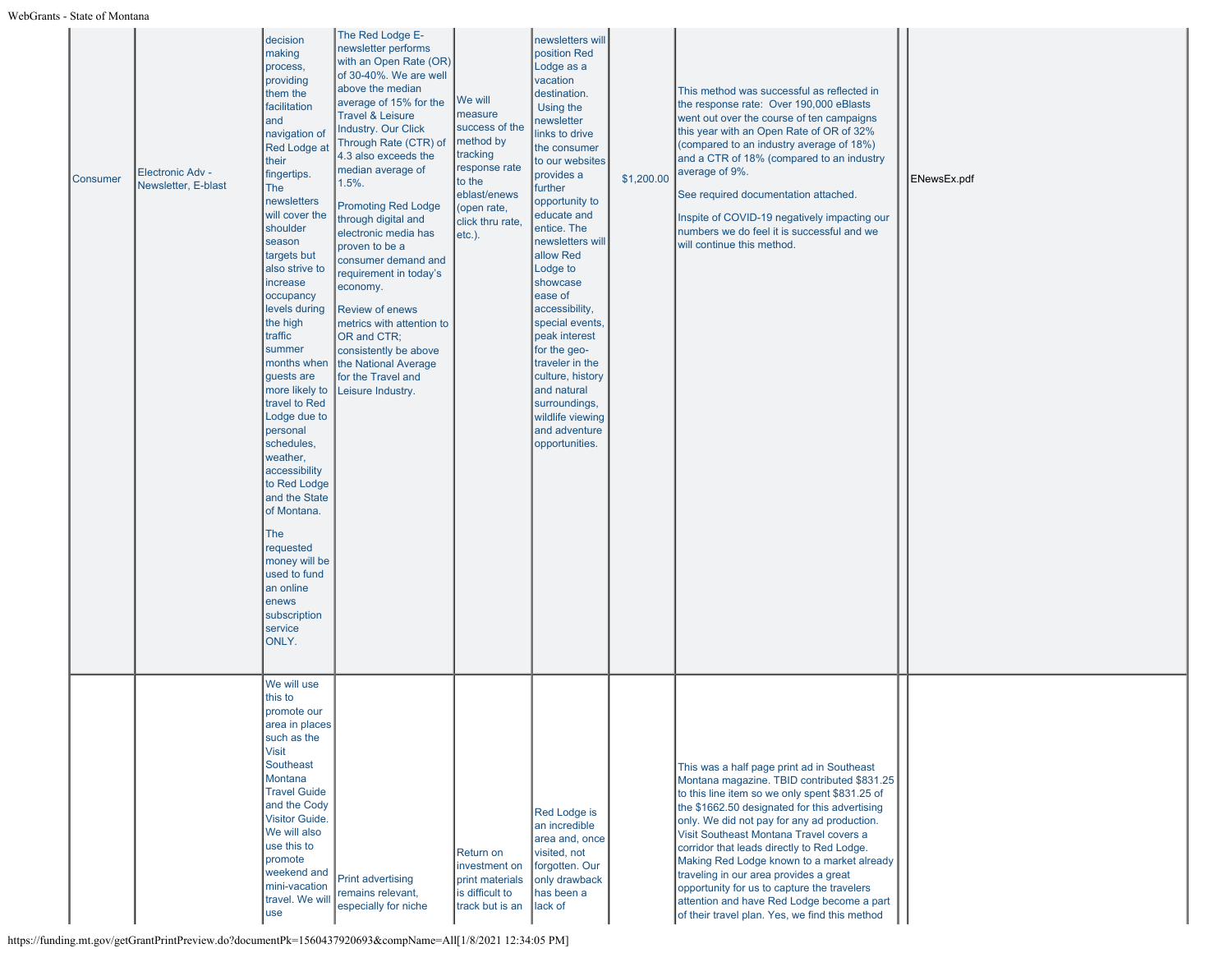| <b>Consumer</b> | <b>Electronic Adv -</b><br>Newsletter, E-blast | decision<br>making<br>process,<br>providing<br>them the<br>facilitation<br>and<br>navigation of<br><b>Red Lodge at</b><br>their<br>fingertips.<br>The<br>newsletters<br>will cover the<br>shoulder<br>season<br>targets but<br>also strive to<br>increase<br>occupancy<br>levels during<br>the high<br>traffic<br>summer<br>months when<br>guests are<br>more likely to<br>travel to Red<br>Lodge due to<br>personal<br>schedules,<br>weather,<br>accessibility<br>to Red Lodge<br>and the State<br>of Montana.<br><b>The</b><br>requested<br>money will be<br>used to fund<br>an online<br>enews<br>subscription<br>service<br>ONLY. | The Red Lodge E-<br>newsletter performs<br>with an Open Rate (OR)<br>of 30-40%. We are well<br>above the median<br>average of 15% for the<br><b>Travel &amp; Leisure</b><br><b>Industry. Our Click</b><br>Through Rate (CTR) of<br>4.3 also exceeds the<br>median average of<br>$1.5%$ .<br><b>Promoting Red Lodge</b><br>through digital and<br>electronic media has<br>proven to be a<br>consumer demand and<br>requirement in today's<br>economy.<br><b>Review of enews</b><br>metrics with attention to<br>OR and CTR;<br>consistently be above<br>the National Average<br>for the Travel and<br>Leisure Industry. | We will<br>measure<br>success of the<br>method by<br>tracking<br>response rate<br>to the<br>eblast/enews<br>(open rate,<br>click thru rate,<br>$etc.$ ). | newsletters will<br>position Red<br>Lodge as a<br>vacation<br>destination.<br>Using the<br>newsletter<br>links to drive<br>the consumer<br>to our websites<br>provides a<br>further<br>opportunity to<br>educate and<br>entice. The<br>newsletters will<br>allow Red<br>Lodge to<br>showcase<br>ease of<br>accessibility,<br>special events,<br>peak interest<br>for the geo-<br>traveler in the<br>culture, history<br>and natural<br>surroundings,<br>wildlife viewing<br>and adventure<br>opportunities. | \$1,200.00 | This method was successful as reflected in<br>the response rate: Over 190,000 eBlasts<br>went out over the course of ten campaigns<br>this year with an Open Rate of OR of 32%<br>(compared to an industry average of 18%)<br>and a CTR of 18% (compared to an industry<br>average of 9%.<br>See required documentation attached.<br>Inspite of COVID-19 negatively impacting our<br>numbers we do feel it is successful and we<br>will continue this method.                                                                                                               | ENewsEx.pdf |
|-----------------|------------------------------------------------|---------------------------------------------------------------------------------------------------------------------------------------------------------------------------------------------------------------------------------------------------------------------------------------------------------------------------------------------------------------------------------------------------------------------------------------------------------------------------------------------------------------------------------------------------------------------------------------------------------------------------------------|------------------------------------------------------------------------------------------------------------------------------------------------------------------------------------------------------------------------------------------------------------------------------------------------------------------------------------------------------------------------------------------------------------------------------------------------------------------------------------------------------------------------------------------------------------------------------------------------------------------------|----------------------------------------------------------------------------------------------------------------------------------------------------------|-------------------------------------------------------------------------------------------------------------------------------------------------------------------------------------------------------------------------------------------------------------------------------------------------------------------------------------------------------------------------------------------------------------------------------------------------------------------------------------------------------------|------------|-----------------------------------------------------------------------------------------------------------------------------------------------------------------------------------------------------------------------------------------------------------------------------------------------------------------------------------------------------------------------------------------------------------------------------------------------------------------------------------------------------------------------------------------------------------------------------|-------------|
|                 |                                                | We will use<br>this to<br>promote our<br>area in places<br>such as the<br><b>Visit</b><br>Southeast<br>Montana<br><b>Travel Guide</b><br>and the Cody<br>Visitor Guide.<br>We will also<br>use this to<br>promote<br>weekend and<br>mini-vacation<br>travel. We will<br>use                                                                                                                                                                                                                                                                                                                                                           | <b>Print advertising</b><br>remains relevant,<br>especially for niche                                                                                                                                                                                                                                                                                                                                                                                                                                                                                                                                                  | Return on<br>investment on<br>print materials<br>is difficult to<br>track but is an                                                                      | Red Lodge is<br>an incredible<br>area and, once<br>visited, not<br>forgotten. Our<br>only drawback<br>has been a<br>lack of                                                                                                                                                                                                                                                                                                                                                                                 |            | This was a half page print ad in Southeast<br>Montana magazine. TBID contributed \$831.25<br>to this line item so we only spent \$831.25 of<br>the \$1662.50 designated for this advertising<br>only. We did not pay for any ad production.<br>Visit Southeast Montana Travel covers a<br>corridor that leads directly to Red Lodge.<br>Making Red Lodge known to a market already<br>traveling in our area provides a great<br>opportunity for us to capture the travelers<br>attention and have Red Lodge become a part<br>of their travel plan. Yes, we find this method |             |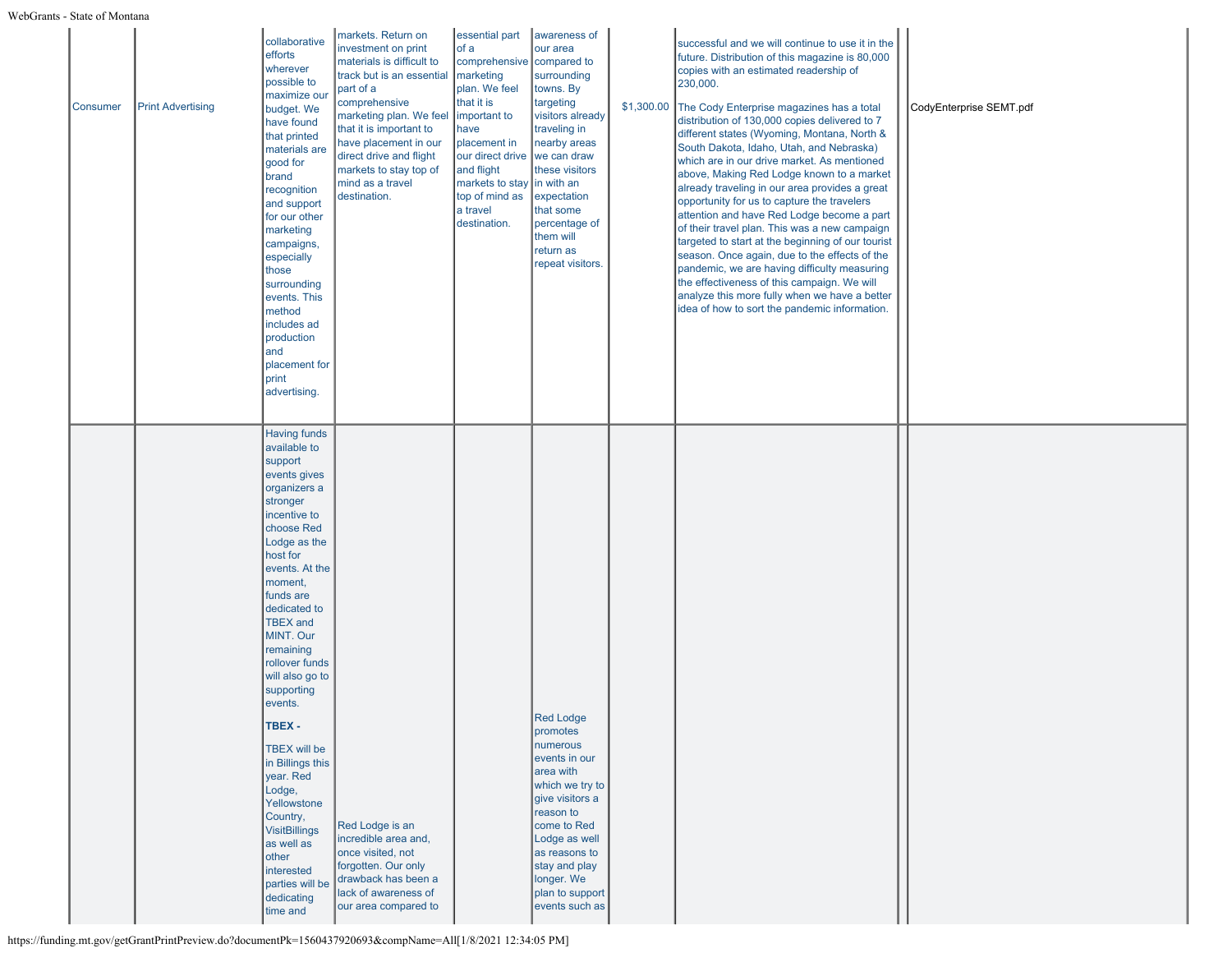| <b>Consumer</b> | <b>Print Advertising</b> | collaborative<br>efforts<br>wherever<br>possible to<br>maximize ou<br>budget. We<br>have found<br>that printed<br>materials are<br>good for<br>brand<br>recognition<br>and support<br>for our other<br>marketing<br>campaigns,<br>especially<br>those<br>surrounding<br>events. This<br>method<br>includes ad<br>production<br>and<br>placement for<br>print<br>advertising.                                                                                                                                                        | markets. Return on<br>investment on print<br>materials is difficult to<br>track but is an essential<br>part of a<br>comprehensive<br>marketing plan. We feel<br>that it is important to<br>have placement in our<br>direct drive and flight<br>markets to stay top of<br>mind as a travel<br>destination. | essential part<br>of a<br>comprehensive compared to<br>marketing<br>plan. We feel<br>that it is<br>important to<br>have<br>placement in<br>our direct drive we can draw<br>and flight<br>markets to stay in with an<br>top of mind as<br>a travel<br>destination. | awareness of<br>our area<br>surrounding<br>towns. By<br>targeting<br>visitors already<br>traveling in<br>nearby areas<br>these visitors<br>expectation<br>that some<br>percentage of<br>them will<br>return as<br>repeat visitors.             | \$1,300.00 | successful and we will continue to use it in the<br>future. Distribution of this magazine is 80,000<br>copies with an estimated readership of<br>230,000.<br>The Cody Enterprise magazines has a total<br>distribution of 130,000 copies delivered to 7<br>different states (Wyoming, Montana, North &<br>South Dakota, Idaho, Utah, and Nebraska)<br>which are in our drive market. As mentioned<br>above, Making Red Lodge known to a market<br>already traveling in our area provides a great<br>opportunity for us to capture the travelers<br>attention and have Red Lodge become a part<br>of their travel plan. This was a new campaign<br>targeted to start at the beginning of our tourist<br>season. Once again, due to the effects of the<br>pandemic, we are having difficulty measuring<br>the effectiveness of this campaign. We will<br>analyze this more fully when we have a better<br>idea of how to sort the pandemic information. | CodyEnterprise SEMT.pdf |
|-----------------|--------------------------|-------------------------------------------------------------------------------------------------------------------------------------------------------------------------------------------------------------------------------------------------------------------------------------------------------------------------------------------------------------------------------------------------------------------------------------------------------------------------------------------------------------------------------------|-----------------------------------------------------------------------------------------------------------------------------------------------------------------------------------------------------------------------------------------------------------------------------------------------------------|-------------------------------------------------------------------------------------------------------------------------------------------------------------------------------------------------------------------------------------------------------------------|------------------------------------------------------------------------------------------------------------------------------------------------------------------------------------------------------------------------------------------------|------------|-------------------------------------------------------------------------------------------------------------------------------------------------------------------------------------------------------------------------------------------------------------------------------------------------------------------------------------------------------------------------------------------------------------------------------------------------------------------------------------------------------------------------------------------------------------------------------------------------------------------------------------------------------------------------------------------------------------------------------------------------------------------------------------------------------------------------------------------------------------------------------------------------------------------------------------------------------|-------------------------|
|                 |                          | <b>Having funds</b><br>available to<br>support<br>events gives<br>organizers a<br>stronger<br>incentive to<br>choose Red<br>Lodge as the<br>host for<br>events. At the<br>moment,<br>funds are<br>dedicated to<br><b>TBEX</b> and<br>MINT. Our<br>remaining<br>rollover funds<br>will also go to<br>supporting<br>events.<br>TBEX -<br>TBEX will be<br>in Billings this<br>year. Red<br>Lodge,<br>Yellowstone<br>Country,<br><b>VisitBillings</b><br>as well as<br>other<br>interested<br>parties will be<br>dedicating<br>time and | Red Lodge is an<br>incredible area and,<br>once visited, not<br>forgotten. Our only<br>drawback has been a<br>lack of awareness of<br>our area compared to                                                                                                                                                |                                                                                                                                                                                                                                                                   | <b>Red Lodge</b><br>promotes<br>numerous<br>events in our<br>area with<br>which we try to<br>give visitors a<br>reason to<br>come to Red<br>Lodge as well<br>as reasons to<br>stay and play<br>longer. We<br>plan to support<br>events such as |            |                                                                                                                                                                                                                                                                                                                                                                                                                                                                                                                                                                                                                                                                                                                                                                                                                                                                                                                                                       |                         |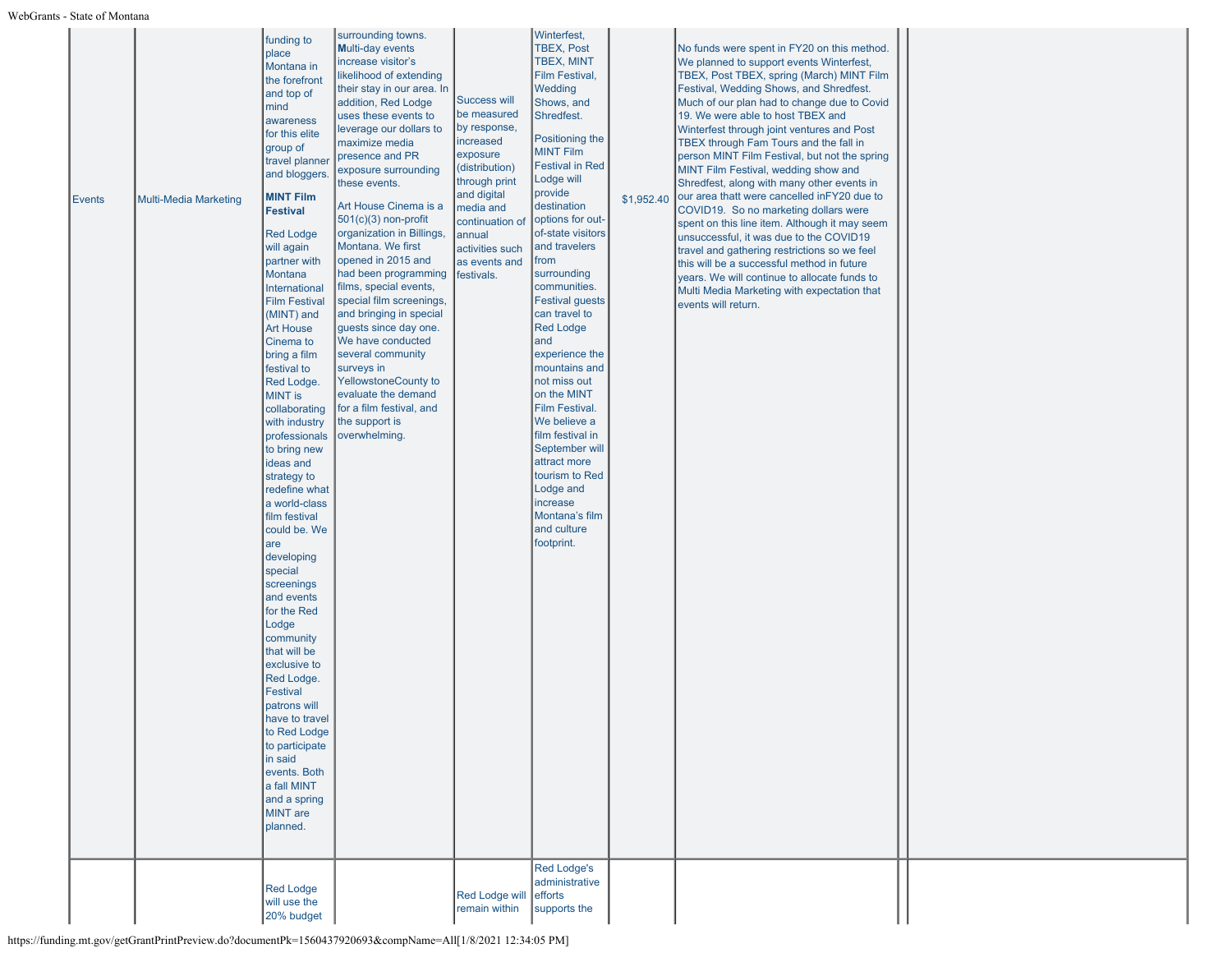| <b>Events</b> | <b>Multi-Media Marketing</b> | funding to<br>place<br>Montana in<br>the forefront<br>and top of<br>mind<br>awareness<br>for this elite<br>group of<br>travel planner<br>and bloggers.<br><b>MINT Film</b><br><b>Festival</b><br><b>Red Lodge</b><br>will again<br>partner with<br>Montana<br>International<br><b>Film Festival</b><br>(MINT) and<br><b>Art House</b><br>Cinema to<br>bring a film<br>festival to<br>Red Lodge.<br>MINT is<br>collaborating<br>with industry<br>professionals<br>to bring new<br>ideas and<br>strategy to<br>redefine what<br>a world-class<br>film festival<br>could be. We<br>are<br>developing<br>special<br>screenings<br>and events<br>for the Red<br>Lodge<br>community<br>that will be<br>exclusive to<br>Red Lodge.<br>Festival<br>patrons will<br>have to travel<br>to Red Lodge<br>to participate<br>in said<br>events. Both<br>a fall MINT<br>and a spring<br>MINT are<br>planned. | surrounding towns.<br><b>Multi-day events</b><br>increase visitor's<br>likelihood of extending<br>their stay in our area. In<br>addition, Red Lodge<br>uses these events to<br>leverage our dollars to<br>maximize media<br>presence and PR<br>exposure surrounding<br>these events.<br>Art House Cinema is a<br>$501(c)(3)$ non-profit<br>organization in Billings,<br>Montana. We first<br>opened in 2015 and<br>had been programming<br>films, special events,<br>special film screenings,<br>and bringing in special<br>guests since day one.<br>We have conducted<br>several community<br>surveys in<br><b>YellowstoneCounty to</b><br>evaluate the demand<br>for a film festival, and<br>the support is<br>overwhelming. | Success will<br>be measured<br>by response,<br>increased<br>exposure<br>(distribution)<br>through print<br>and digital<br>media and<br>continuation of<br>annual<br>activities such<br>as events and<br>festivals. | Winterfest,<br><b>TBEX, Post</b><br>TBEX, MINT<br>Film Festival,<br>Wedding<br>Shows, and<br>Shredfest.<br>Positioning the<br><b>MINT Film</b><br>Festival in Red<br>Lodge will<br>provide<br>destination<br>options for out-<br>of-state visitors<br>and travelers<br>from<br>surrounding<br>communities.<br>Festival guests<br>can travel to<br><b>Red Lodge</b><br>and<br>experience the<br>mountains and<br>not miss out<br>on the MINT<br>Film Festival.<br>We believe a<br>film festival in<br>September will<br>attract more<br>tourism to Red<br>Lodge and<br>increase<br>Montana's film<br>and culture<br>footprint.<br><b>Red Lodge's</b><br>administrative | \$1,952.40 | No funds were spent in FY20 on this method.<br>We planned to support events Winterfest,<br>TBEX, Post TBEX, spring (March) MINT Film<br>Festival, Wedding Shows, and Shredfest.<br>Much of our plan had to change due to Covid<br>19. We were able to host TBEX and<br>Winterfest through joint ventures and Post<br>TBEX through Fam Tours and the fall in<br>person MINT Film Festival, but not the spring<br>MINT Film Festival, wedding show and<br>Shredfest, along with many other events in<br>our area thatt were cancelled inFY20 due to<br>COVID19. So no marketing dollars were<br>spent on this line item. Although it may seem<br>unsuccessful, it was due to the COVID19<br>travel and gathering restrictions so we feel<br>this will be a successful method in future<br>years. We will continue to allocate funds to<br>Multi Media Marketing with expectation that<br>events will return. |  |
|---------------|------------------------------|-----------------------------------------------------------------------------------------------------------------------------------------------------------------------------------------------------------------------------------------------------------------------------------------------------------------------------------------------------------------------------------------------------------------------------------------------------------------------------------------------------------------------------------------------------------------------------------------------------------------------------------------------------------------------------------------------------------------------------------------------------------------------------------------------------------------------------------------------------------------------------------------------|--------------------------------------------------------------------------------------------------------------------------------------------------------------------------------------------------------------------------------------------------------------------------------------------------------------------------------------------------------------------------------------------------------------------------------------------------------------------------------------------------------------------------------------------------------------------------------------------------------------------------------------------------------------------------------------------------------------------------------|--------------------------------------------------------------------------------------------------------------------------------------------------------------------------------------------------------------------|-----------------------------------------------------------------------------------------------------------------------------------------------------------------------------------------------------------------------------------------------------------------------------------------------------------------------------------------------------------------------------------------------------------------------------------------------------------------------------------------------------------------------------------------------------------------------------------------------------------------------------------------------------------------------|------------|------------------------------------------------------------------------------------------------------------------------------------------------------------------------------------------------------------------------------------------------------------------------------------------------------------------------------------------------------------------------------------------------------------------------------------------------------------------------------------------------------------------------------------------------------------------------------------------------------------------------------------------------------------------------------------------------------------------------------------------------------------------------------------------------------------------------------------------------------------------------------------------------------------|--|
|               |                              | <b>Red Lodge</b><br>will use the<br>20% budget                                                                                                                                                                                                                                                                                                                                                                                                                                                                                                                                                                                                                                                                                                                                                                                                                                                |                                                                                                                                                                                                                                                                                                                                                                                                                                                                                                                                                                                                                                                                                                                                | <b>Red Lodge will</b><br>remain within                                                                                                                                                                             | efforts<br>supports the                                                                                                                                                                                                                                                                                                                                                                                                                                                                                                                                                                                                                                               |            |                                                                                                                                                                                                                                                                                                                                                                                                                                                                                                                                                                                                                                                                                                                                                                                                                                                                                                            |  |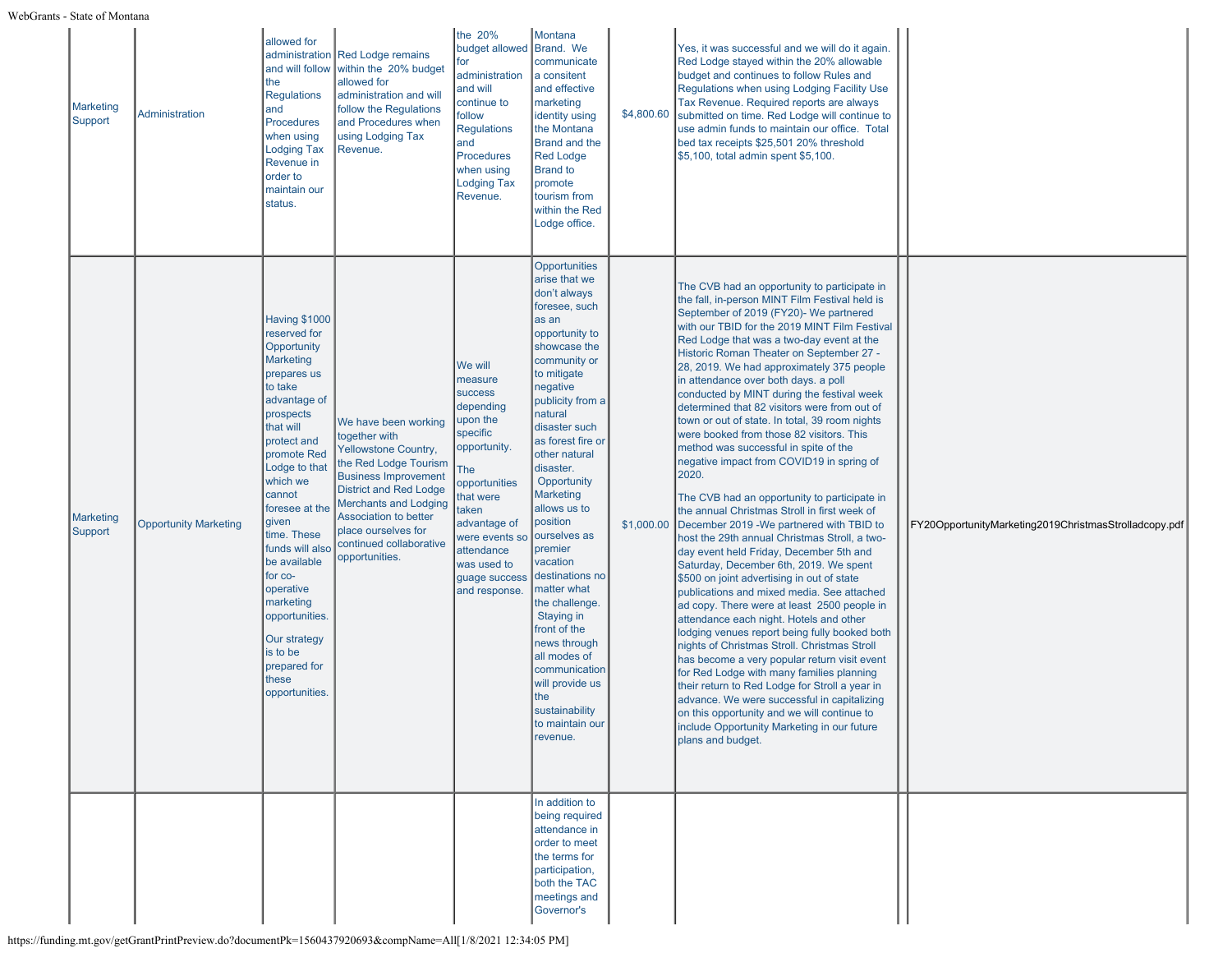| <b>Marketing</b><br>Support | <b>Administration</b>        | allowed for<br>administration<br>and will follow<br>the<br><b>Regulations</b><br>and<br><b>Procedures</b><br>when using<br><b>Lodging Tax</b><br>Revenue in<br>order to<br>maintain our<br>status.                                                                                                                                                                                                                          | <b>Red Lodge remains</b><br>within the 20% budget<br>allowed for<br>administration and will<br>follow the Regulations<br>and Procedures when<br>using Lodging Tax<br>Revenue.                                                                                                       | the 20%<br>budget allowed<br>for<br>administration<br>and will<br>continue to<br>follow<br><b>Regulations</b><br>and<br><b>Procedures</b><br>when using<br><b>Lodging Tax</b><br>Revenue.                                                | Montana<br>Brand. We<br>communicate<br>a consitent<br>and effective<br>marketing<br>identity using<br>the Montana<br><b>Brand and the</b><br><b>Red Lodge</b><br><b>Brand to</b><br>promote<br>tourism from<br>within the Red<br>Lodge office.                                                                                                                                                                                                                                                                                                                               | \$4,800.60 | Yes, it was successful and we will do it again.<br>Red Lodge stayed within the 20% allowable<br>budget and continues to follow Rules and<br>Regulations when using Lodging Facility Use<br>Tax Revenue. Required reports are always<br>submitted on time. Red Lodge will continue to<br>use admin funds to maintain our office. Total<br>bed tax receipts \$25,501 20% threshold<br>\$5,100, total admin spent \$5,100.                                                                                                                                                                                                                                                                                                                                                                                                                                                                                                                                                                                                                                                                                                                                                                                                                                                                                                                                                                                                                                                                                                                                       |                                                       |
|-----------------------------|------------------------------|-----------------------------------------------------------------------------------------------------------------------------------------------------------------------------------------------------------------------------------------------------------------------------------------------------------------------------------------------------------------------------------------------------------------------------|-------------------------------------------------------------------------------------------------------------------------------------------------------------------------------------------------------------------------------------------------------------------------------------|------------------------------------------------------------------------------------------------------------------------------------------------------------------------------------------------------------------------------------------|------------------------------------------------------------------------------------------------------------------------------------------------------------------------------------------------------------------------------------------------------------------------------------------------------------------------------------------------------------------------------------------------------------------------------------------------------------------------------------------------------------------------------------------------------------------------------|------------|---------------------------------------------------------------------------------------------------------------------------------------------------------------------------------------------------------------------------------------------------------------------------------------------------------------------------------------------------------------------------------------------------------------------------------------------------------------------------------------------------------------------------------------------------------------------------------------------------------------------------------------------------------------------------------------------------------------------------------------------------------------------------------------------------------------------------------------------------------------------------------------------------------------------------------------------------------------------------------------------------------------------------------------------------------------------------------------------------------------------------------------------------------------------------------------------------------------------------------------------------------------------------------------------------------------------------------------------------------------------------------------------------------------------------------------------------------------------------------------------------------------------------------------------------------------|-------------------------------------------------------|
| Marketing<br>Support        | <b>Opportunity Marketing</b> | <b>Having \$1000</b><br>reserved for<br>Opportunity<br><b>Marketing</b><br>prepares us<br>to take<br>advantage of<br>prospects<br>that will<br>protect and<br>promote Red<br>Lodge to that<br>which we<br>cannot<br>foresee at the<br>given<br>time. These<br>funds will also<br>be available<br>for co-<br>operative<br>marketing<br>opportunities.<br>Our strategy<br>is to be<br>prepared for<br>these<br>opportunities. | We have been working<br>together with<br>Yellowstone Country,<br>the Red Lodge Tourism<br><b>Business Improvement</b><br><b>District and Red Lodge</b><br>Merchants and Lodging<br><b>Association to better</b><br>place ourselves for<br>continued collaborative<br>opportunities. | We will<br>measure<br><b>SUCCESS</b><br>depending<br>upon the<br>specific<br>opportunity.<br>The<br>opportunities<br>that were<br>taken<br>advantage of<br>were events so<br>attendance<br>was used to<br>guage success<br>and response. | Opportunities<br>arise that we<br>don't always<br>foresee, such<br>as an<br>opportunity to<br>showcase the<br>community or<br>to mitigate<br>negative<br>publicity from a<br>natural<br>disaster such<br>as forest fire or<br>other natural<br>disaster.<br>Opportunity<br>Marketing<br>allows us to<br>position<br>ourselves as<br>premier<br>vacation<br>destinations no<br>matter what<br>the challenge.<br><b>Staying in</b><br>front of the<br>news through<br>all modes of<br>communication<br>will provide us<br>the<br>sustainability<br>to maintain our<br>revenue. | \$1,000.00 | The CVB had an opportunity to participate in<br>the fall, in-person MINT Film Festival held is<br>September of 2019 (FY20)- We partnered<br>with our TBID for the 2019 MINT Film Festival<br>Red Lodge that was a two-day event at the<br>Historic Roman Theater on September 27 -<br>28, 2019. We had approximately 375 people<br>in attendance over both days. a poll<br>conducted by MINT during the festival week<br>determined that 82 visitors were from out of<br>town or out of state. In total, 39 room nights<br>were booked from those 82 visitors. This<br>method was successful in spite of the<br>negative impact from COVID19 in spring of<br>2020.<br>The CVB had an opportunity to participate in<br>the annual Christmas Stroll in first week of<br>December 2019 - We partnered with TBID to<br>host the 29th annual Christmas Stroll, a two-<br>day event held Friday, December 5th and<br>Saturday, December 6th, 2019. We spent<br>\$500 on joint advertising in out of state<br>publications and mixed media. See attached<br>ad copy. There were at least 2500 people in<br>attendance each night. Hotels and other<br>lodging venues report being fully booked both<br>nights of Christmas Stroll. Christmas Stroll<br>has become a very popular return visit event<br>for Red Lodge with many families planning<br>their return to Red Lodge for Stroll a year in<br>advance. We were successful in capitalizing<br>on this opportunity and we will continue to<br>include Opportunity Marketing in our future<br>plans and budget. | FY20OpportunityMarketing2019ChristmasStrolladcopy.pdf |
|                             |                              |                                                                                                                                                                                                                                                                                                                                                                                                                             |                                                                                                                                                                                                                                                                                     |                                                                                                                                                                                                                                          | In addition to<br>being required<br>attendance in<br>order to meet<br>the terms for<br>participation,<br>both the TAC<br>meetings and<br>Governor's                                                                                                                                                                                                                                                                                                                                                                                                                          |            |                                                                                                                                                                                                                                                                                                                                                                                                                                                                                                                                                                                                                                                                                                                                                                                                                                                                                                                                                                                                                                                                                                                                                                                                                                                                                                                                                                                                                                                                                                                                                               |                                                       |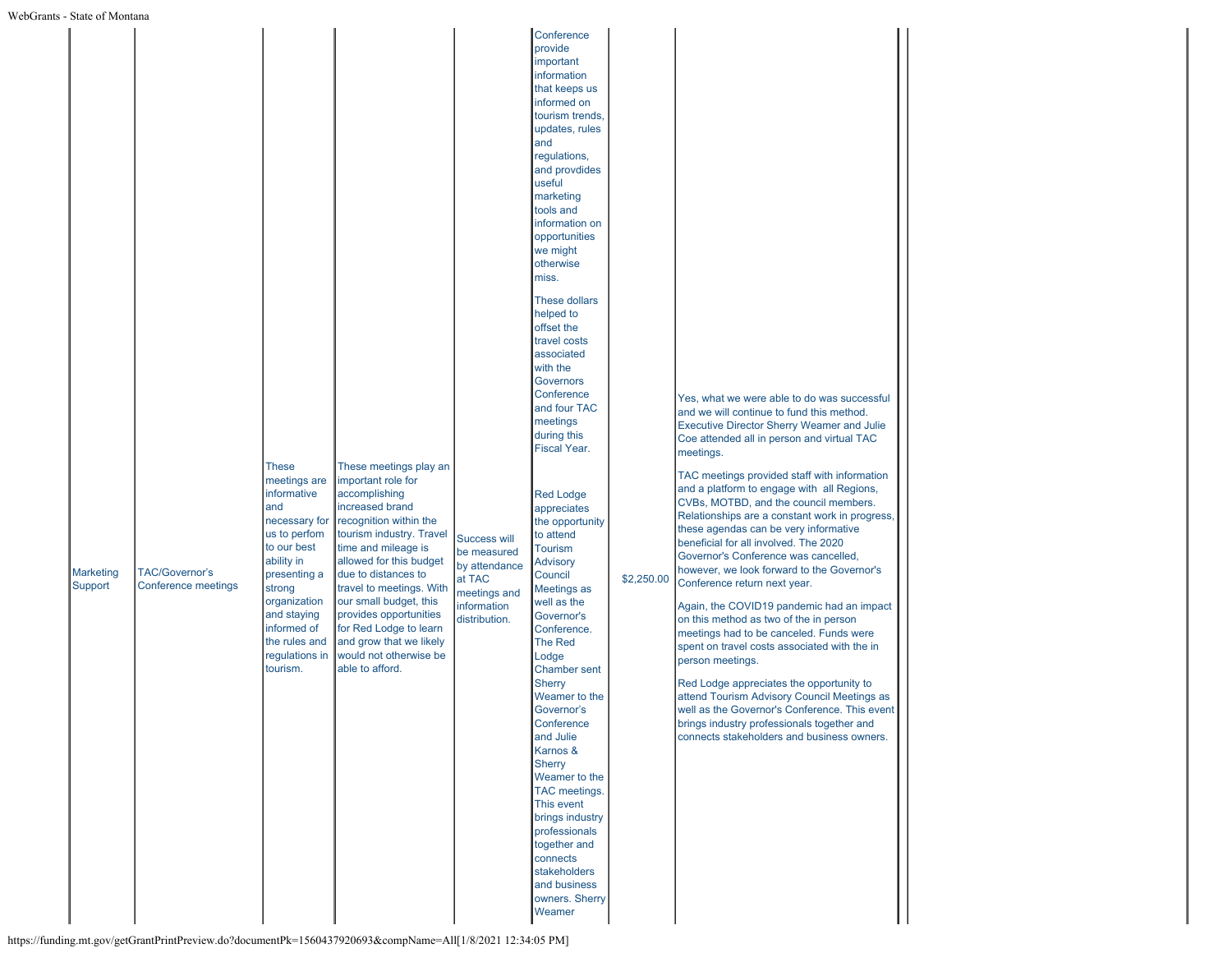|  | <b>Marketing</b><br>Support | <b>TAC/Governor's</b><br>Conference meetings | These<br>meetings are<br>informative<br>and<br>necessary for<br>us to perfom<br>to our best<br>ability in<br>presenting a<br>strong<br>organization<br>and staying<br>informed of<br>the rules and<br>regulations in<br>tourism. | These meetings play an<br>important role for<br>accomplishing<br>increased brand<br>recognition within the<br>tourism industry. Travel<br>time and mileage is<br>allowed for this budget<br>due to distances to<br>travel to meetings. With<br>our small budget, this<br>provides opportunities<br>for Red Lodge to learn<br>and grow that we likely<br>would not otherwise be<br>able to afford. | Success will<br>be measured<br>by attendance<br>at TAC<br>meetings and<br>information<br>distribution. | provide<br>important<br>information<br>that keeps us<br>informed on<br>tourism trends,<br>updates, rules<br>and<br>regulations,<br>and provdides<br>useful<br>marketing<br>tools and<br>information on<br>opportunities<br>we might<br>otherwise<br>miss.<br>These dollars<br>helped to<br>offset the<br>travel costs<br>associated<br>with the<br>Governors<br>Conference<br>and four TAC<br>meetings<br>during this<br>Fiscal Year.<br><b>Red Lodge</b><br>appreciates<br>the opportunity<br>to attend<br><b>Tourism</b><br><b>Advisory</b><br>Council<br>Meetings as<br>well as the<br>Governor's<br>Conference.<br>The Red<br>Lodge<br><b>Chamber sent</b><br><b>Sherry</b><br>Weamer to the<br>Governor's<br>Conference<br>and Julie<br>Karnos &<br>Sherry<br>Weamer to the<br>TAC meetings.<br>This event<br>brings industry<br>professionals | \$2,250.00 | Yes, what we were able to do was successful<br>and we will continue to fund this method.<br><b>Executive Director Sherry Weamer and Julie</b><br>Coe attended all in person and virtual TAC<br>meetings.<br>TAC meetings provided staff with information<br>and a platform to engage with all Regions,<br>CVBs, MOTBD, and the council members.<br>Relationships are a constant work in progress,<br>these agendas can be very informative<br>beneficial for all involved. The 2020<br>Governor's Conference was cancelled,<br>however, we look forward to the Governor's<br>Conference return next year.<br>Again, the COVID19 pandemic had an impact<br>on this method as two of the in person<br>meetings had to be canceled. Funds were<br>spent on travel costs associated with the in<br>person meetings.<br>Red Lodge appreciates the opportunity to<br>attend Tourism Advisory Council Meetings as<br>well as the Governor's Conference. This event<br>brings industry professionals together and<br>connects stakeholders and business owners. |
|--|-----------------------------|----------------------------------------------|----------------------------------------------------------------------------------------------------------------------------------------------------------------------------------------------------------------------------------|---------------------------------------------------------------------------------------------------------------------------------------------------------------------------------------------------------------------------------------------------------------------------------------------------------------------------------------------------------------------------------------------------|--------------------------------------------------------------------------------------------------------|-----------------------------------------------------------------------------------------------------------------------------------------------------------------------------------------------------------------------------------------------------------------------------------------------------------------------------------------------------------------------------------------------------------------------------------------------------------------------------------------------------------------------------------------------------------------------------------------------------------------------------------------------------------------------------------------------------------------------------------------------------------------------------------------------------------------------------------------------------|------------|---------------------------------------------------------------------------------------------------------------------------------------------------------------------------------------------------------------------------------------------------------------------------------------------------------------------------------------------------------------------------------------------------------------------------------------------------------------------------------------------------------------------------------------------------------------------------------------------------------------------------------------------------------------------------------------------------------------------------------------------------------------------------------------------------------------------------------------------------------------------------------------------------------------------------------------------------------------------------------------------------------------------------------------------------------|
|--|-----------------------------|----------------------------------------------|----------------------------------------------------------------------------------------------------------------------------------------------------------------------------------------------------------------------------------|---------------------------------------------------------------------------------------------------------------------------------------------------------------------------------------------------------------------------------------------------------------------------------------------------------------------------------------------------------------------------------------------------|--------------------------------------------------------------------------------------------------------|-----------------------------------------------------------------------------------------------------------------------------------------------------------------------------------------------------------------------------------------------------------------------------------------------------------------------------------------------------------------------------------------------------------------------------------------------------------------------------------------------------------------------------------------------------------------------------------------------------------------------------------------------------------------------------------------------------------------------------------------------------------------------------------------------------------------------------------------------------|------------|---------------------------------------------------------------------------------------------------------------------------------------------------------------------------------------------------------------------------------------------------------------------------------------------------------------------------------------------------------------------------------------------------------------------------------------------------------------------------------------------------------------------------------------------------------------------------------------------------------------------------------------------------------------------------------------------------------------------------------------------------------------------------------------------------------------------------------------------------------------------------------------------------------------------------------------------------------------------------------------------------------------------------------------------------------|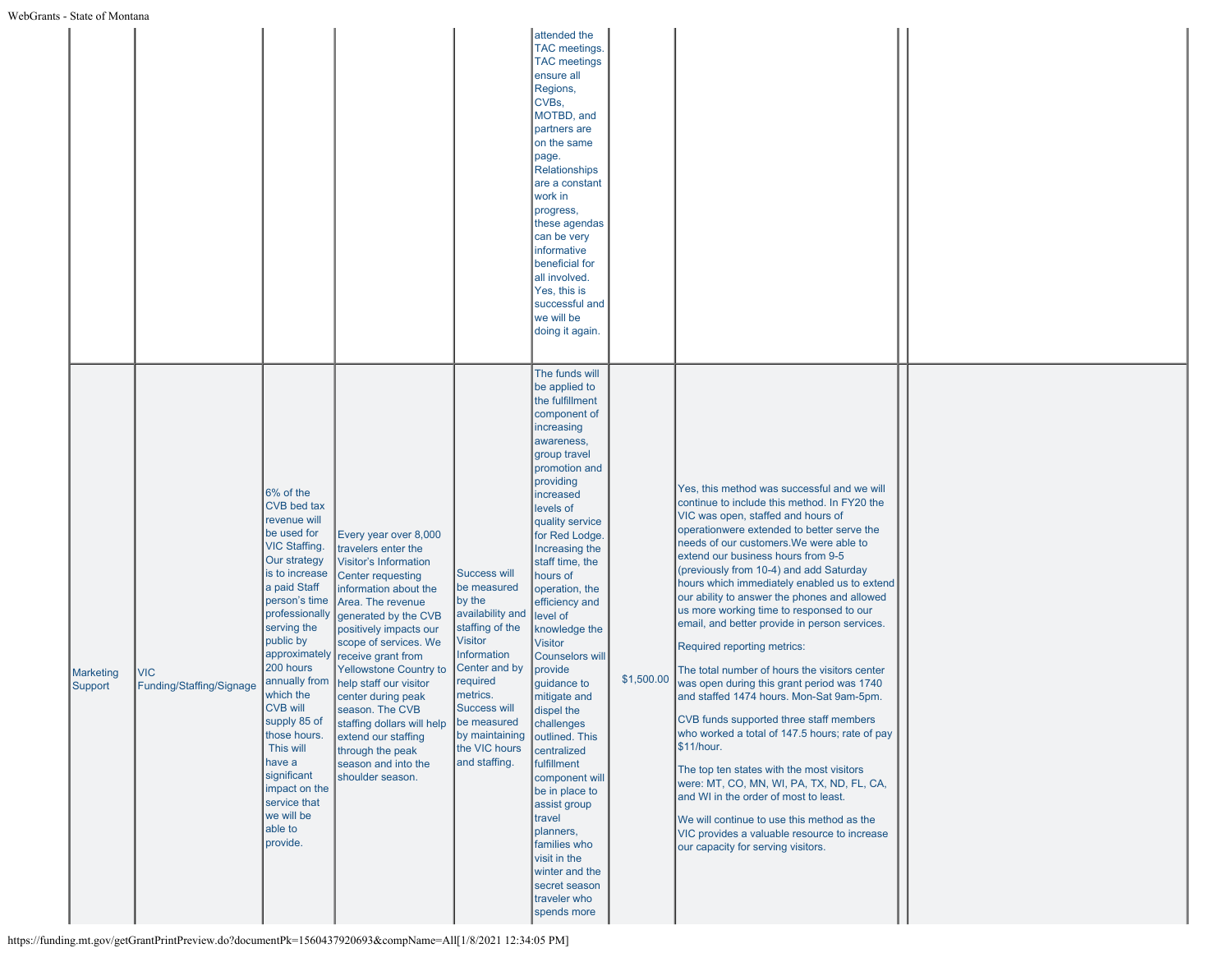|                             |                                 |                                                                                                                                                                                                                                                                                                                                                                                                                      |                                                                                                                                                                                                                                                                                                                                                                                                                                                                          |                                                                                                                                                                                                                                                          | attended the<br>TAC meetings.<br><b>TAC</b> meetings<br>ensure all<br>Regions,<br>CVBs,<br>MOTBD, and<br>partners are<br>on the same<br>page.<br>Relationships<br>are a constant<br>work in<br>progress,<br>these agendas<br>can be very<br>informative<br>beneficial for<br>all involved.<br>Yes, this is<br>successful and<br>we will be<br>doing it again.                                                                                                                                                                                                                                                                                       |            |                                                                                                                                                                                                                                                                                                                                                                                                                                                                                                                                                                                                                                                                                                                                                                                                                                                                                                                                                                                                                                                                      |  |
|-----------------------------|---------------------------------|----------------------------------------------------------------------------------------------------------------------------------------------------------------------------------------------------------------------------------------------------------------------------------------------------------------------------------------------------------------------------------------------------------------------|--------------------------------------------------------------------------------------------------------------------------------------------------------------------------------------------------------------------------------------------------------------------------------------------------------------------------------------------------------------------------------------------------------------------------------------------------------------------------|----------------------------------------------------------------------------------------------------------------------------------------------------------------------------------------------------------------------------------------------------------|-----------------------------------------------------------------------------------------------------------------------------------------------------------------------------------------------------------------------------------------------------------------------------------------------------------------------------------------------------------------------------------------------------------------------------------------------------------------------------------------------------------------------------------------------------------------------------------------------------------------------------------------------------|------------|----------------------------------------------------------------------------------------------------------------------------------------------------------------------------------------------------------------------------------------------------------------------------------------------------------------------------------------------------------------------------------------------------------------------------------------------------------------------------------------------------------------------------------------------------------------------------------------------------------------------------------------------------------------------------------------------------------------------------------------------------------------------------------------------------------------------------------------------------------------------------------------------------------------------------------------------------------------------------------------------------------------------------------------------------------------------|--|
| <b>Marketing</b><br>Support | VIC<br>Funding/Staffing/Signage | 6% of the<br>CVB bed tax<br>revenue will<br>be used for<br>VIC Staffing.<br>Our strategy<br>is to increase<br>a paid Staff<br>person's time<br>professionally<br>serving the<br>public by<br>approximately<br>200 hours<br>annually from<br>which the<br><b>CVB will</b><br>supply 85 of<br>those hours.<br>This will<br>have a<br>significant<br>impact on the<br>service that<br>we will be<br>able to<br>provide. | Every year over 8,000<br>travelers enter the<br><b>Visitor's Information</b><br><b>Center requesting</b><br>information about the<br>Area. The revenue<br>generated by the CVB<br>positively impacts our<br>scope of services. We<br>receive grant from<br>Yellowstone Country to<br>help staff our visitor<br>center during peak<br>season. The CVB<br>staffing dollars will help<br>extend our staffing<br>through the peak<br>season and into the<br>shoulder season. | Success will<br>be measured<br>by the<br>availability and<br>staffing of the<br>Visitor<br>Information<br>Center and by<br>required<br>metrics.<br><b>Success will</b><br>be measured<br>by maintaining outlined. This<br>the VIC hours<br>and staffing. | The funds will<br>be applied to<br>the fulfillment<br>component of<br>increasing<br>awareness,<br>group travel<br>promotion and<br>providing<br>increased<br>levels of<br>quality service<br>for Red Lodge.<br>Increasing the<br>staff time, the<br>hours of<br>operation, the<br>efficiency and<br>level of<br>knowledge the<br><b>Visitor</b><br>Counselors will<br>provide<br>guidance to<br>mitigate and<br>dispel the<br>challenges<br>centralized<br>fulfillment<br>component will<br>be in place to<br>assist group<br>travel<br>planners,<br>families who<br>visit in the<br>winter and the<br>secret season<br>traveler who<br>spends more | \$1,500.00 | Yes, this method was successful and we will<br>continue to include this method. In FY20 the<br>VIC was open, staffed and hours of<br>operationwere extended to better serve the<br>needs of our customers. We were able to<br>extend our business hours from 9-5<br>(previously from 10-4) and add Saturday<br>hours which immediately enabled us to extend<br>our ability to answer the phones and allowed<br>us more working time to responsed to our<br>email, and better provide in person services.<br>Required reporting metrics:<br>The total number of hours the visitors center<br>was open during this grant period was 1740<br>and staffed 1474 hours. Mon-Sat 9am-5pm.<br>CVB funds supported three staff members<br>who worked a total of 147.5 hours; rate of pay<br>\$11/hour.<br>The top ten states with the most visitors<br>were: MT, CO, MN, WI, PA, TX, ND, FL, CA,<br>and WI in the order of most to least.<br>We will continue to use this method as the<br>VIC provides a valuable resource to increase<br>our capacity for serving visitors. |  |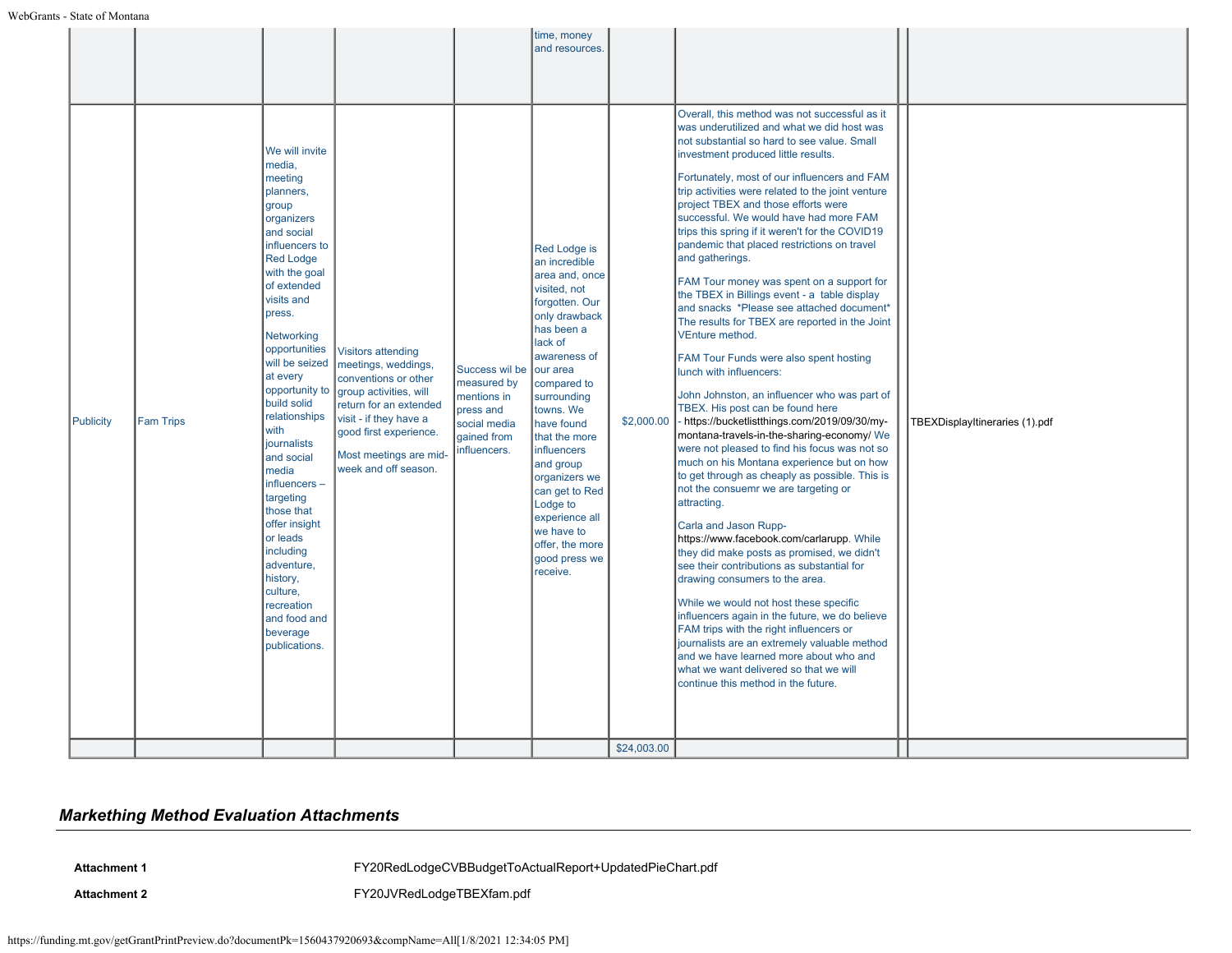|           |                  |                                                                                                                                                                                                                                                                                                                                                                                                                                                                                                                                        |                                                                                                                                                                                                                                    |                                                                                                          | time, money<br>and resources.                                                                                                                                                                                                                                                                                                                                                                       |                           |                                                                                                                                                                                                                                                                                                                                                                                                                                                                                                                                                                                                                                                                                                                                                                                                                                                                                                                                                                                                                                                                                                                                                                                                                                                                                                                                                                                                                                                                                                                                                                                                                                                                                                  |                                |
|-----------|------------------|----------------------------------------------------------------------------------------------------------------------------------------------------------------------------------------------------------------------------------------------------------------------------------------------------------------------------------------------------------------------------------------------------------------------------------------------------------------------------------------------------------------------------------------|------------------------------------------------------------------------------------------------------------------------------------------------------------------------------------------------------------------------------------|----------------------------------------------------------------------------------------------------------|-----------------------------------------------------------------------------------------------------------------------------------------------------------------------------------------------------------------------------------------------------------------------------------------------------------------------------------------------------------------------------------------------------|---------------------------|--------------------------------------------------------------------------------------------------------------------------------------------------------------------------------------------------------------------------------------------------------------------------------------------------------------------------------------------------------------------------------------------------------------------------------------------------------------------------------------------------------------------------------------------------------------------------------------------------------------------------------------------------------------------------------------------------------------------------------------------------------------------------------------------------------------------------------------------------------------------------------------------------------------------------------------------------------------------------------------------------------------------------------------------------------------------------------------------------------------------------------------------------------------------------------------------------------------------------------------------------------------------------------------------------------------------------------------------------------------------------------------------------------------------------------------------------------------------------------------------------------------------------------------------------------------------------------------------------------------------------------------------------------------------------------------------------|--------------------------------|
| Publicity | <b>Fam Trips</b> | We will invite<br>media.<br>meeting<br>planners,<br>group<br>organizers<br>and social<br>influencers to<br><b>Red Lodge</b><br>with the goal<br>of extended<br>visits and<br>press.<br>Networking<br>opportunities<br>will be seized<br>at every<br>opportunity to<br>build solid<br>relationships<br>with<br>journalists<br>and social<br>media<br>influencers-<br>targeting<br>those that<br>offer insight<br>or leads<br>including<br>adventure,<br>history,<br>culture,<br>recreation<br>and food and<br>beverage<br>publications. | <b>Visitors attending</b><br>meetings, weddings,<br>conventions or other<br>group activities, will<br>return for an extended<br>visit - if they have a<br>good first experience.<br>Most meetings are mid-<br>week and off season. | Success wil be<br>measured by<br>mentions in<br>press and<br>social media<br>gained from<br>influencers. | <b>Red Lodge is</b><br>an incredible<br>area and, once<br>visited, not<br>forgotten. Our<br>only drawback<br>has been a<br>lack of<br>awareness of<br>our area<br>compared to<br>surrounding<br>towns. We<br>have found<br>that the more<br>influencers<br>and group<br>organizers we<br>can get to Red<br>Lodge to<br>experience all<br>we have to<br>offer, the more<br>good press we<br>receive. | \$2,000.00<br>\$24,003.00 | Overall, this method was not successful as it<br>was underutilized and what we did host was<br>not substantial so hard to see value. Small<br>investment produced little results.<br>Fortunately, most of our influencers and FAM<br>trip activities were related to the joint venture<br>project TBEX and those efforts were<br>successful. We would have had more FAM<br>trips this spring if it weren't for the COVID19<br>pandemic that placed restrictions on travel<br>and gatherings.<br>FAM Tour money was spent on a support for<br>the TBEX in Billings event - a table display<br>and snacks *Please see attached document*<br>The results for TBEX are reported in the Joint<br>VEnture method.<br>FAM Tour Funds were also spent hosting<br>lunch with influencers:<br>John Johnston, an influencer who was part of<br>TBEX. His post can be found here<br>- https://bucketlistthings.com/2019/09/30/my-<br>montana-travels-in-the-sharing-economy/ We<br>were not pleased to find his focus was not so<br>much on his Montana experience but on how<br>to get through as cheaply as possible. This is<br>not the consuemr we are targeting or<br>attracting.<br>Carla and Jason Rupp-<br>https://www.facebook.com/carlarupp. While<br>they did make posts as promised, we didn't<br>see their contributions as substantial for<br>drawing consumers to the area.<br>While we would not host these specific<br>influencers again in the future, we do believe<br>FAM trips with the right influencers or<br>journalists are an extremely valuable method<br>and we have learned more about who and<br>what we want delivered so that we will<br>continue this method in the future. | TBEXDisplayItineraries (1).pdf |
|           |                  |                                                                                                                                                                                                                                                                                                                                                                                                                                                                                                                                        |                                                                                                                                                                                                                                    |                                                                                                          |                                                                                                                                                                                                                                                                                                                                                                                                     |                           |                                                                                                                                                                                                                                                                                                                                                                                                                                                                                                                                                                                                                                                                                                                                                                                                                                                                                                                                                                                                                                                                                                                                                                                                                                                                                                                                                                                                                                                                                                                                                                                                                                                                                                  |                                |

# *Markething Method Evaluation Attachments*

**Attachment 1** [FY20RedLodgeCVBBudgetToActualReport+UpdatedPieChart.pdf](https://funding.mt.gov/fileDownload.jsp?filename=1608331081627_FY20RedLodgeCVBBudgetToActualReport%2BUpdatedPieChart.pdf)

Attachment 2 **Attachment 2** [FY20JVRedLodgeTBEXfam.pdf](https://funding.mt.gov/fileDownload.jsp?filename=1608331981709_FY20JVRedLodgeTBEXfam.pdf)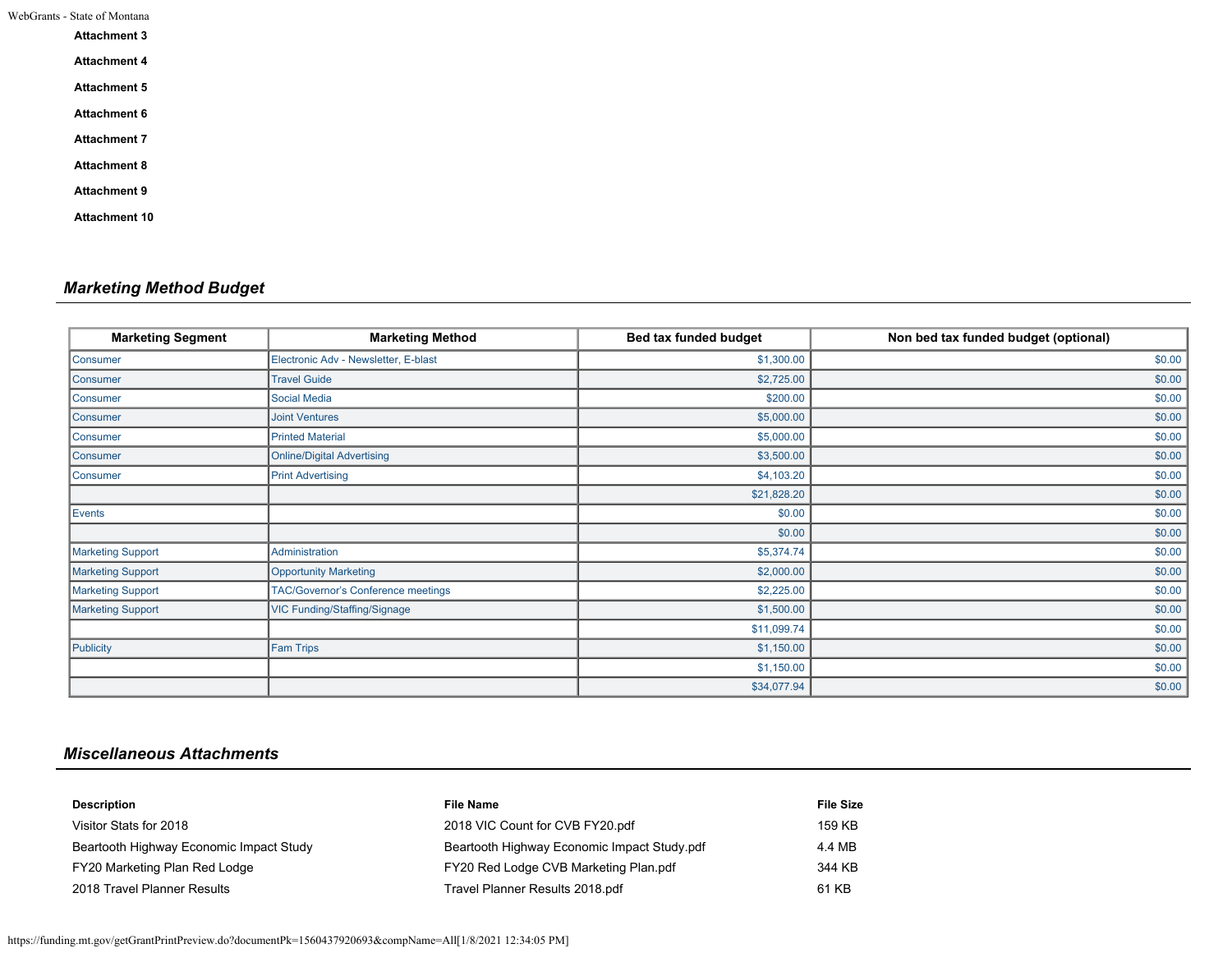| WebGrants - State of Montana |  |
|------------------------------|--|
|                              |  |

| <b>Attachment 3</b>  |  |  |
|----------------------|--|--|
| <b>Attachment 4</b>  |  |  |
| <b>Attachment 5</b>  |  |  |
| Attachment 6         |  |  |
| <b>Attachment 7</b>  |  |  |
| <b>Attachment 8</b>  |  |  |
| <b>Attachment 9</b>  |  |  |
| <b>Attachment 10</b> |  |  |

# *Marketing Method Budget*

| <b>Marketing Segment</b> | <b>Marketing Method</b>              | Bed tax funded budget | Non bed tax funded budget (optional) |
|--------------------------|--------------------------------------|-----------------------|--------------------------------------|
| Consumer                 | Electronic Adv - Newsletter, E-blast | \$1,300.00            | \$0.00                               |
| Consumer                 | <b>Travel Guide</b>                  | \$2,725.00            | \$0.00                               |
| Consumer                 | <b>Social Media</b>                  | \$200.00              | \$0.00                               |
| Consumer                 | <b>Joint Ventures</b>                | \$5,000.00            | \$0.00                               |
| Consumer                 | <b>Printed Material</b>              | \$5,000.00            | \$0.00                               |
| Consumer                 | <b>Online/Digital Advertising</b>    | \$3,500.00            | \$0.00                               |
| Consumer                 | <b>Print Advertising</b>             | \$4,103.20            | \$0.00                               |
|                          |                                      | \$21,828.20           | \$0.00                               |
| Events                   |                                      | \$0.00                | \$0.00                               |
|                          |                                      | \$0.00                | \$0.00                               |
| <b>Marketing Support</b> | Administration                       | \$5,374.74            | \$0.00                               |
| <b>Marketing Support</b> | <b>Opportunity Marketing</b>         | \$2,000.00            | \$0.00                               |
| <b>Marketing Support</b> | TAC/Governor's Conference meetings   | \$2,225.00            | \$0.00                               |
| <b>Marketing Support</b> | VIC Funding/Staffing/Signage         | \$1,500.00            | \$0.00                               |
|                          |                                      | \$11,099.74           | \$0.00                               |
| Publicity                | <b>Fam Trips</b>                     | \$1,150.00            | \$0.00                               |
|                          |                                      | \$1,150.00            | \$0.00                               |
|                          |                                      | \$34,077.94           | \$0.00                               |

# *Miscellaneous Attachments*

| <b>Description</b>                      | <b>File Name</b>                            | <b>File Size</b> |
|-----------------------------------------|---------------------------------------------|------------------|
| Visitor Stats for 2018                  | 2018 VIC Count for CVB FY20.pdf             | 159 KB           |
| Beartooth Highway Economic Impact Study | Beartooth Highway Economic Impact Study.pdf | 4.4 MB           |
| FY20 Marketing Plan Red Lodge           | FY20 Red Lodge CVB Marketing Plan.pdf       | 344 KB           |
| 2018 Travel Planner Results             | Travel Planner Results 2018.pdf             | 61 KB            |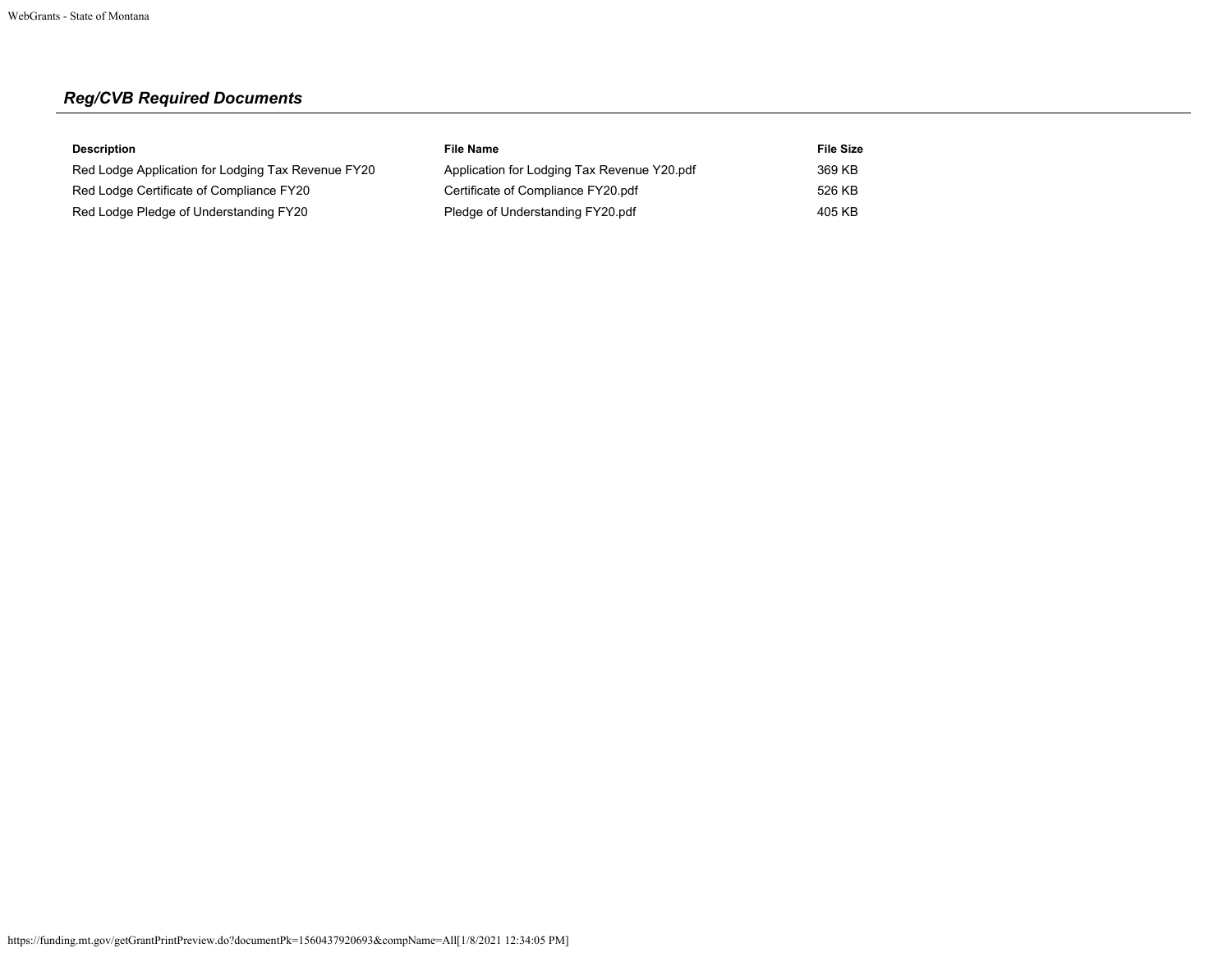# *Reg/CVB Required Documents*

| <b>Description</b>                                 | File Name                                   | <b>File Size</b> |
|----------------------------------------------------|---------------------------------------------|------------------|
| Red Lodge Application for Lodging Tax Revenue FY20 | Application for Lodging Tax Revenue Y20.pdf | 369 KB           |
| Red Lodge Certificate of Compliance FY20           | Certificate of Compliance FY20.pdf          | 526 KB           |
| Red Lodge Pledge of Understanding FY20             | Pledge of Understanding FY20.pdf            | 405 KB           |